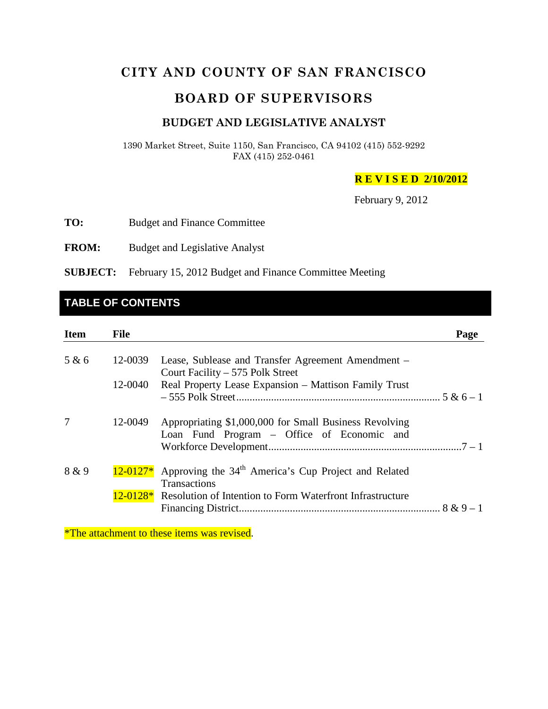# **CITY AND COUNTY OF SAN FRANCISCO**

# **BOARD OF SUPERVISORS**

#### **BUDGET AND LEGISLATIVE ANALYST**

1390 Market Street, Suite 1150, San Francisco, CA 94102 (415) 552-9292 FAX (415) 252-0461

**R E V I S E D 2/10/2012**

February 9, 2012

**TO:** Budget and Finance Committee

**FROM:** Budget and Legislative Analyst

**SUBJECT:** February 15, 2012 Budget and Finance Committee Meeting

# **TABLE OF CONTENTS**

| <b>Item</b> | <b>File</b> |                                                                                                                                                                                              | Page |
|-------------|-------------|----------------------------------------------------------------------------------------------------------------------------------------------------------------------------------------------|------|
| 5 & 6       | 12-0039     | Lease, Sublease and Transfer Agreement Amendment –<br>Court Facility – 575 Polk Street                                                                                                       |      |
|             | 12-0040     | Real Property Lease Expansion – Mattison Family Trust                                                                                                                                        |      |
| 7           | 12-0049     | Appropriating \$1,000,000 for Small Business Revolving<br>Loan Fund Program – Office of Economic and                                                                                         |      |
| 8 & 9       |             | $12{\text -}0127*$ Approving the 34 <sup>th</sup> America's Cup Project and Related<br><b>Transactions</b><br>12-0128 <sup>*</sup> Resolution of Intention to Form Waterfront Infrastructure |      |

\*The attachment to these items was revised.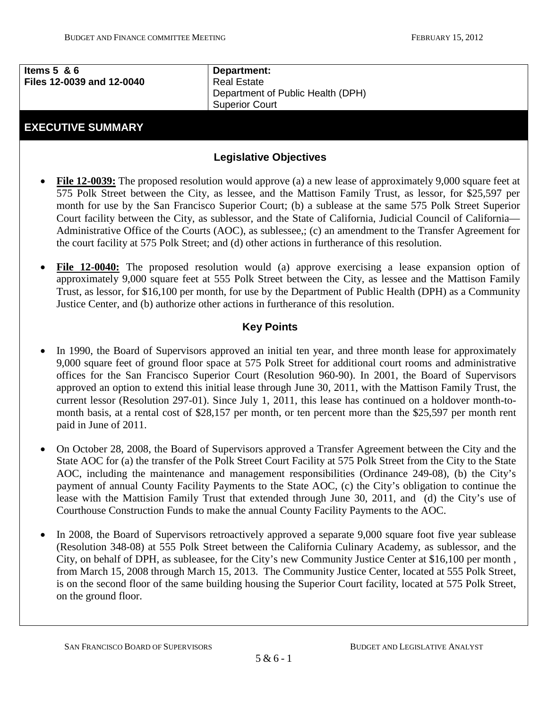| Items $5 \& 6$            | Department:                       |  |
|---------------------------|-----------------------------------|--|
| Files 12-0039 and 12-0040 | <b>Real Estate</b>                |  |
|                           | Department of Public Health (DPH) |  |
|                           | <b>Superior Court</b>             |  |
|                           |                                   |  |

## **EXECUTIVE SUMMARY**

## **Legislative Objectives**

- **File 12-0039:** The proposed resolution would approve (a) a new lease of approximately 9,000 square feet at 575 Polk Street between the City, as lessee, and the Mattison Family Trust, as lessor, for \$25,597 per month for use by the San Francisco Superior Court; (b) a sublease at the same 575 Polk Street Superior Court facility between the City, as sublessor, and the State of California, Judicial Council of California— Administrative Office of the Courts (AOC), as sublessee,; (c) an amendment to the Transfer Agreement for the court facility at 575 Polk Street; and (d) other actions in furtherance of this resolution.
- **File 12-0040:** The proposed resolution would (a) approve exercising a lease expansion option of approximately 9,000 square feet at 555 Polk Street between the City, as lessee and the Mattison Family Trust, as lessor, for \$16,100 per month, for use by the Department of Public Health (DPH) as a Community Justice Center, and (b) authorize other actions in furtherance of this resolution.

## **Key Points**

- In 1990, the Board of Supervisors approved an initial ten year, and three month lease for approximately 9,000 square feet of ground floor space at 575 Polk Street for additional court rooms and administrative offices for the San Francisco Superior Court (Resolution 960-90). In 2001, the Board of Supervisors approved an option to extend this initial lease through June 30, 2011, with the Mattison Family Trust, the current lessor (Resolution 297-01). Since July 1, 2011, this lease has continued on a holdover month-tomonth basis, at a rental cost of \$28,157 per month, or ten percent more than the \$25,597 per month rent paid in June of 2011.
- On October 28, 2008, the Board of Supervisors approved a Transfer Agreement between the City and the State AOC for (a) the transfer of the Polk Street Court Facility at 575 Polk Street from the City to the State AOC, including the maintenance and management responsibilities (Ordinance 249-08), (b) the City's payment of annual County Facility Payments to the State AOC, (c) the City's obligation to continue the lease with the Mattision Family Trust that extended through June 30, 2011, and (d) the City's use of Courthouse Construction Funds to make the annual County Facility Payments to the AOC.
- <span id="page-1-0"></span>• In 2008, the Board of Supervisors retroactively approved a separate 9,000 square foot five year sublease (Resolution 348-08) at 555 Polk Street between the California Culinary Academy, as sublessor, and the City, on behalf of DPH, as subleasee, for the City's new Community Justice Center at \$16,100 per month , from March 15, 2008 through March 15, 2013. The Community Justice Center, located at 555 Polk Street, is on the second floor of the same building housing the Superior Court facility, located at 575 Polk Street, on the ground floor.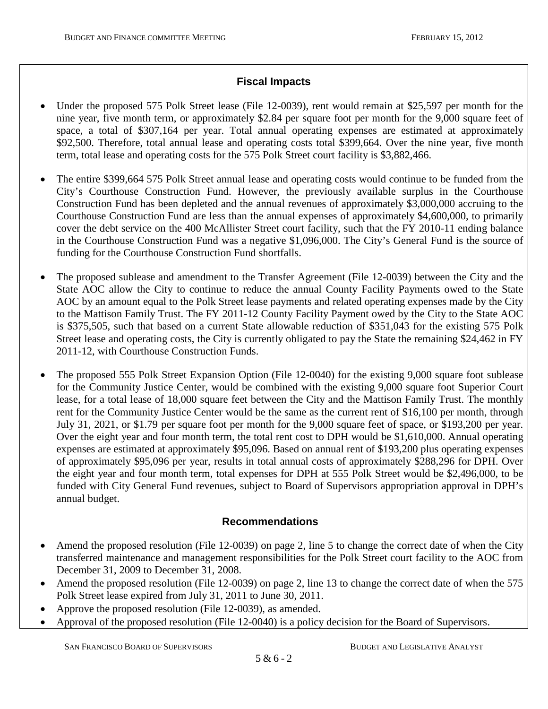## **Fiscal Impacts**

- Under the proposed 575 Polk Street lease (File 12-0039), rent would remain at \$25,597 per month for the nine year, five month term, or approximately \$2.84 per square foot per month for the 9,000 square feet of space, a total of \$307,164 per year. Total annual operating expenses are estimated at approximately \$92,500. Therefore, total annual lease and operating costs total \$399,664. Over the nine year, five month term, total lease and operating costs for the 575 Polk Street court facility is \$3,882,466.
- The entire \$399,664 575 Polk Street annual lease and operating costs would continue to be funded from the City's Courthouse Construction Fund. However, the previously available surplus in the Courthouse Construction Fund has been depleted and the annual revenues of approximately \$3,000,000 accruing to the Courthouse Construction Fund are less than the annual expenses of approximately \$4,600,000, to primarily cover the debt service on the 400 McAllister Street court facility, such that the FY 2010-11 ending balance in the Courthouse Construction Fund was a negative \$1,096,000. The City's General Fund is the source of funding for the Courthouse Construction Fund shortfalls.
- The proposed sublease and amendment to the Transfer Agreement (File 12-0039) between the City and the State AOC allow the City to continue to reduce the annual County Facility Payments owed to the State AOC by an amount equal to the Polk Street lease payments and related operating expenses made by the City to the Mattison Family Trust. The FY 2011-12 County Facility Payment owed by the City to the State AOC is \$375,505, such that based on a current State allowable reduction of \$351,043 for the existing 575 Polk Street lease and operating costs, the City is currently obligated to pay the State the remaining \$24,462 in FY 2011-12, with Courthouse Construction Funds.
- The proposed 555 Polk Street Expansion Option (File 12-0040) for the existing 9,000 square foot sublease for the Community Justice Center, would be combined with the existing 9,000 square foot Superior Court lease, for a total lease of 18,000 square feet between the City and the Mattison Family Trust. The monthly rent for the Community Justice Center would be the same as the current rent of \$16,100 per month, through July 31, 2021, or \$1.79 per square foot per month for the 9,000 square feet of space, or \$193,200 per year. Over the eight year and four month term, the total rent cost to DPH would be \$1,610,000. Annual operating expenses are estimated at approximately \$95,096. Based on annual rent of \$193,200 plus operating expenses of approximately \$95,096 per year, results in total annual costs of approximately \$288,296 for DPH. Over the eight year and four month term, total expenses for DPH at 555 Polk Street would be \$2,496,000, to be funded with City General Fund revenues, subject to Board of Supervisors appropriation approval in DPH's annual budget.

## **Recommendations**

- Amend the proposed resolution (File 12-0039) on page 2, line 5 to change the correct date of when the City transferred maintenance and management responsibilities for the Polk Street court facility to the AOC from December 31, 2009 to December 31, 2008.
- Amend the proposed resolution (File 12-0039) on page 2, line 13 to change the correct date of when the 575 Polk Street lease expired from July 31, 2011 to June 30, 2011.
- Approve the proposed resolution (File 12-0039), as amended.
- Approval of the proposed resolution (File 12-0040) is a policy decision for the Board of Supervisors.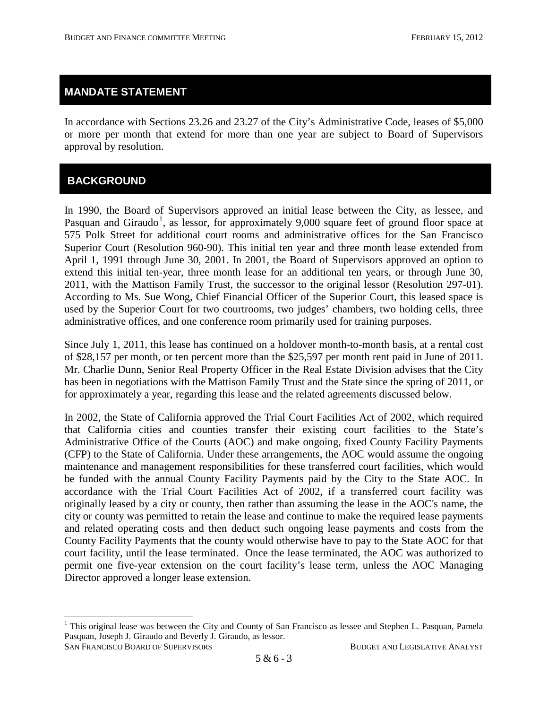## **MANDATE STATEMENT**

In accordance with Sections 23.26 and 23.27 of the City's Administrative Code, leases of \$5,000 or more per month that extend for more than one year are subject to Board of Supervisors approval by resolution.

# **BACKGROUND**

In 1990, the Board of Supervisors approved an initial lease between the City, as lessee, and Pasquan and Giraudo<sup>[1](#page-1-0)</sup>, as lessor, for approximately 9,000 square feet of ground floor space at 575 Polk Street for additional court rooms and administrative offices for the San Francisco Superior Court (Resolution 960-90). This initial ten year and three month lease extended from April 1, 1991 through June 30, 2001. In 2001, the Board of Supervisors approved an option to extend this initial ten-year, three month lease for an additional ten years, or through June 30, 2011, with the Mattison Family Trust, the successor to the original lessor (Resolution 297-01). According to Ms. Sue Wong, Chief Financial Officer of the Superior Court, this leased space is used by the Superior Court for two courtrooms, two judges' chambers, two holding cells, three administrative offices, and one conference room primarily used for training purposes.

Since July 1, 2011, this lease has continued on a holdover month-to-month basis, at a rental cost of \$28,157 per month, or ten percent more than the \$25,597 per month rent paid in June of 2011. Mr. Charlie Dunn, Senior Real Property Officer in the Real Estate Division advises that the City has been in negotiations with the Mattison Family Trust and the State since the spring of 2011, or for approximately a year, regarding this lease and the related agreements discussed below.

<span id="page-3-0"></span>In 2002, the State of California approved the Trial Court Facilities Act of 2002, which required that California cities and counties transfer their existing court facilities to the State's Administrative Office of the Courts (AOC) and make ongoing, fixed County Facility Payments (CFP) to the State of California. Under these arrangements, the AOC would assume the ongoing maintenance and management responsibilities for these transferred court facilities, which would be funded with the annual County Facility Payments paid by the City to the State AOC. In accordance with the Trial Court Facilities Act of 2002, if a transferred court facility was originally leased by a city or county, then rather than assuming the lease in the AOC's name, the city or county was permitted to retain the lease and continue to make the required lease payments and related operating costs and then deduct such ongoing lease payments and costs from the County Facility Payments that the county would otherwise have to pay to the State AOC for that court facility, until the lease terminated. Once the lease terminated, the AOC was authorized to permit one five-year extension on the court facility's lease term, unless the AOC Managing Director approved a longer lease extension.

SAN FRANCISCO BOARD OF SUPERVISORS BUDGET AND LEGISLATIVE ANALYST <sup>1</sup> This original lease was between the City and County of San Francisco as lessee and Stephen L. Pasquan, Pamela Pasquan, Joseph J. Giraudo and Beverly J. Giraudo, as lessor.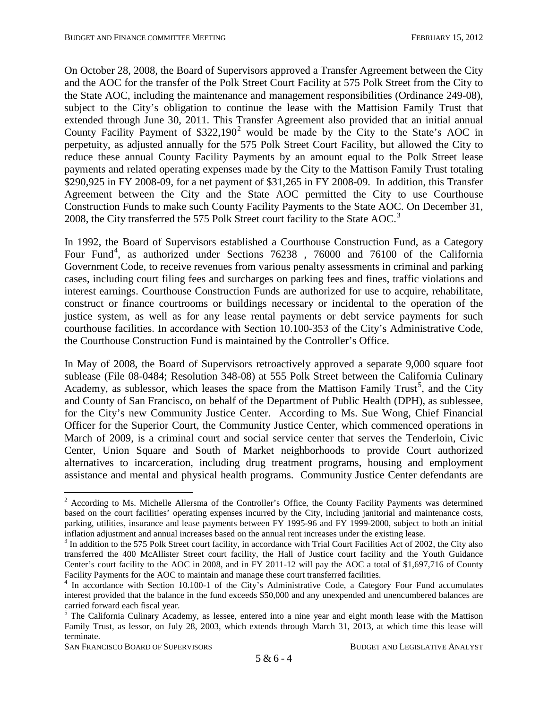On October 28, 2008, the Board of Supervisors approved a Transfer Agreement between the City and the AOC for the transfer of the Polk Street Court Facility at 575 Polk Street from the City to the State AOC, including the maintenance and management responsibilities (Ordinance 249-08), subject to the City's obligation to continue the lease with the Mattision Family Trust that extended through June 30, 2011. This Transfer Agreement also provided that an initial annual County Facility Payment of  $$322,190^2$  $$322,190^2$  $$322,190^2$  would be made by the City to the State's AOC in perpetuity, as adjusted annually for the 575 Polk Street Court Facility, but allowed the City to reduce these annual County Facility Payments by an amount equal to the Polk Street lease payments and related operating expenses made by the City to the Mattison Family Trust totaling \$290,925 in FY 2008-09, for a net payment of \$31,265 in FY 2008-09. In addition, this Transfer Agreement between the City and the State AOC permitted the City to use Courthouse Construction Funds to make such County Facility Payments to the State AOC. On December 31, 2008, the City transferred the 575 Polk Street court facility to the State AOC.<sup>[3](#page-4-0)</sup>

In 1992, the Board of Supervisors established a Courthouse Construction Fund, as a Category Four Fund<sup>[4](#page-4-1)</sup>, as authorized under Sections 76238, 76000 and 76100 of the California Government Code, to receive revenues from various penalty assessments in criminal and parking cases, including court filing fees and surcharges on parking fees and fines, traffic violations and interest earnings. Courthouse Construction Funds are authorized for use to acquire, rehabilitate, construct or finance courtrooms or buildings necessary or incidental to the operation of the justice system, as well as for any lease rental payments or debt service payments for such courthouse facilities. In accordance with Section 10.100-353 of the City's Administrative Code, the Courthouse Construction Fund is maintained by the Controller's Office.

In May of 2008, the Board of Supervisors retroactively approved a separate 9,000 square foot sublease (File 08-0484; Resolution 348-08) at 555 Polk Street between the California Culinary Academy, as sublessor, which leases the space from the Mattison Family Trust<sup>[5](#page-4-2)</sup>, and the City and County of San Francisco, on behalf of the Department of Public Health (DPH), as sublessee, for the City's new Community Justice Center. According to Ms. Sue Wong, Chief Financial Officer for the Superior Court, the Community Justice Center, which commenced operations in March of 2009, is a criminal court and social service center that serves the Tenderloin, Civic Center, Union Square and South of Market neighborhoods to provide Court authorized alternatives to incarceration, including drug treatment programs, housing and employment assistance and mental and physical health programs. Community Justice Center defendants are

SAN FRANCISCO BOARD OF SUPERVISORS BUDGET AND LEGISLATIVE ANALYST

<sup>&</sup>lt;sup>2</sup> According to Ms. Michelle Allersma of the Controller's Office, the County Facility Payments was determined based on the court facilities' operating expenses incurred by the City, including janitorial and maintenance costs, parking, utilities, insurance and lease payments between FY 1995-96 and FY 1999-2000, subject to both an initial inflation adjustment and annual increases based on the annual rent increases under the existing lease.<br><sup>3</sup> In addition to the 575 Polk Street court facility, in accordance with Trial Court Facilities Act of 2002, the City

<span id="page-4-0"></span>transferred the 400 McAllister Street court facility, the Hall of Justice court facility and the Youth Guidance Center's court facility to the AOC in 2008, and in FY 2011-12 will pay the AOC a total of \$1,697,716 of County

<span id="page-4-1"></span>Facility Payments for the AOC to maintain and manage these court transferred facilities.<br><sup>4</sup> In accordance with Section 10.100-1 of the City's Administrative Code, a Category Four Fund accumulates interest provided that the balance in the fund exceeds \$50,000 and any unexpended and unencumbered balances are

<span id="page-4-3"></span><span id="page-4-2"></span> $<sup>5</sup>$  The California Culinary Academy, as lessee, entered into a nine year and eight month lease with the Mattison</sup> Family Trust, as lessor, on July 28, 2003, which extends through March 31, 2013, at which time this lease will terminate.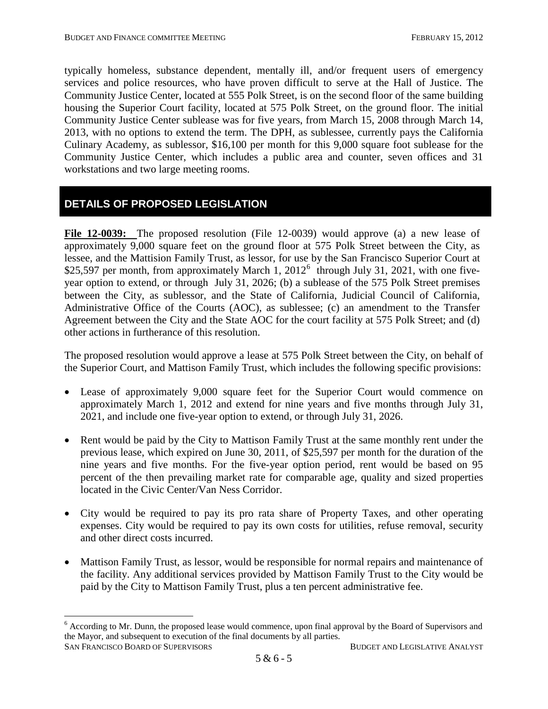typically homeless, substance dependent, mentally ill, and/or frequent users of emergency services and police resources, who have proven difficult to serve at the Hall of Justice. The Community Justice Center, located at 555 Polk Street, is on the second floor of the same building housing the Superior Court facility, located at 575 Polk Street, on the ground floor. The initial Community Justice Center sublease was for five years, from March 15, 2008 through March 14, 2013, with no options to extend the term. The DPH, as sublessee, currently pays the California Culinary Academy, as sublessor, \$16,100 per month for this 9,000 square foot sublease for the Community Justice Center, which includes a public area and counter, seven offices and 31 workstations and two large meeting rooms.

# **DETAILS OF PROPOSED LEGISLATION**

**File 12-0039:** The proposed resolution (File 12-0039) would approve (a) a new lease of approximately 9,000 square feet on the ground floor at 575 Polk Street between the City, as lessee, and the Mattision Family Trust, as lessor, for use by the San Francisco Superior Court at \$25,597 per month, from approximately March 1,  $2012^6$  $2012^6$  through July 31, 2021, with one fiveyear option to extend, or through July 31, 2026; (b) a sublease of the 575 Polk Street premises between the City, as sublessor, and the State of California, Judicial Council of California, Administrative Office of the Courts (AOC), as sublessee; (c) an amendment to the Transfer Agreement between the City and the State AOC for the court facility at 575 Polk Street; and (d) other actions in furtherance of this resolution.

The proposed resolution would approve a lease at 575 Polk Street between the City, on behalf of the Superior Court, and Mattison Family Trust, which includes the following specific provisions:

- Lease of approximately 9,000 square feet for the Superior Court would commence on approximately March 1, 2012 and extend for nine years and five months through July 31, 2021, and include one five-year option to extend, or through July 31, 2026.
- Rent would be paid by the City to Mattison Family Trust at the same monthly rent under the previous lease, which expired on June 30, 2011, of \$25,597 per month for the duration of the nine years and five months. For the five-year option period, rent would be based on 95 percent of the then prevailing market rate for comparable age, quality and sized properties located in the Civic Center/Van Ness Corridor.
- City would be required to pay its pro rata share of Property Taxes, and other operating expenses. City would be required to pay its own costs for utilities, refuse removal, security and other direct costs incurred.
- Mattison Family Trust, as lessor, would be responsible for normal repairs and maintenance of the facility. Any additional services provided by Mattison Family Trust to the City would be paid by the City to Mattison Family Trust, plus a ten percent administrative fee.

<span id="page-5-0"></span>SAN FRANCISCO BOARD OF SUPERVISORS BUDGET AND LEGISLATIVE ANALYST  $6$  According to Mr. Dunn, the proposed lease would commence, upon final approval by the Board of Supervisors and the Mayor, and subsequent to execution of the final documents by all parties.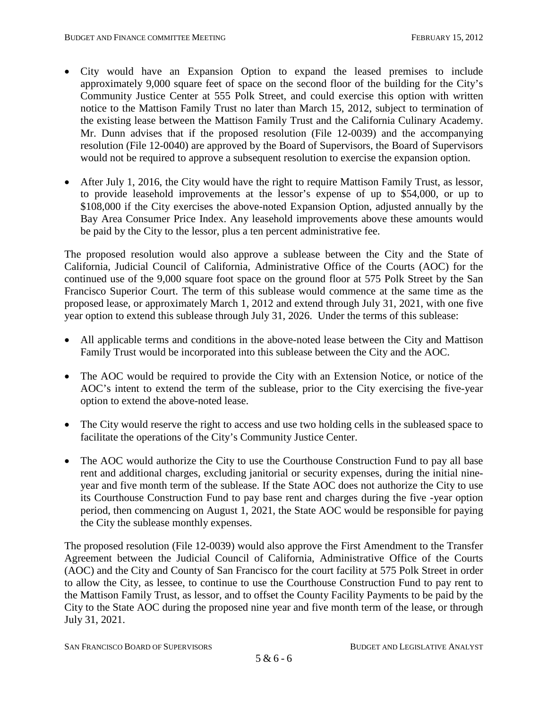- City would have an Expansion Option to expand the leased premises to include approximately 9,000 square feet of space on the second floor of the building for the City's Community Justice Center at 555 Polk Street, and could exercise this option with written notice to the Mattison Family Trust no later than March 15, 2012, subject to termination of the existing lease between the Mattison Family Trust and the California Culinary Academy. Mr. Dunn advises that if the proposed resolution (File 12-0039) and the accompanying resolution (File 12-0040) are approved by the Board of Supervisors, the Board of Supervisors would not be required to approve a subsequent resolution to exercise the expansion option.
- After July 1, 2016, the City would have the right to require Mattison Family Trust, as lessor, to provide leasehold improvements at the lessor's expense of up to \$54,000, or up to \$108,000 if the City exercises the above-noted Expansion Option, adjusted annually by the Bay Area Consumer Price Index. Any leasehold improvements above these amounts would be paid by the City to the lessor, plus a ten percent administrative fee.

The proposed resolution would also approve a sublease between the City and the State of California, Judicial Council of California, Administrative Office of the Courts (AOC) for the continued use of the 9,000 square foot space on the ground floor at 575 Polk Street by the San Francisco Superior Court. The term of this sublease would commence at the same time as the proposed lease, or approximately March 1, 2012 and extend through July 31, 2021, with one five year option to extend this sublease through July 31, 2026. Under the terms of this sublease:

- All applicable terms and conditions in the above-noted lease between the City and Mattison Family Trust would be incorporated into this sublease between the City and the AOC.
- The AOC would be required to provide the City with an Extension Notice, or notice of the AOC's intent to extend the term of the sublease, prior to the City exercising the five-year option to extend the above-noted lease.
- The City would reserve the right to access and use two holding cells in the subleased space to facilitate the operations of the City's Community Justice Center.
- The AOC would authorize the City to use the Courthouse Construction Fund to pay all base rent and additional charges, excluding janitorial or security expenses, during the initial nineyear and five month term of the sublease. If the State AOC does not authorize the City to use its Courthouse Construction Fund to pay base rent and charges during the five -year option period, then commencing on August 1, 2021, the State AOC would be responsible for paying the City the sublease monthly expenses.

The proposed resolution (File 12-0039) would also approve the First Amendment to the Transfer Agreement between the Judicial Council of California, Administrative Office of the Courts (AOC) and the City and County of San Francisco for the court facility at 575 Polk Street in order to allow the City, as lessee, to continue to use the Courthouse Construction Fund to pay rent to the Mattison Family Trust, as lessor, and to offset the County Facility Payments to be paid by the City to the State AOC during the proposed nine year and five month term of the lease, or through July 31, 2021.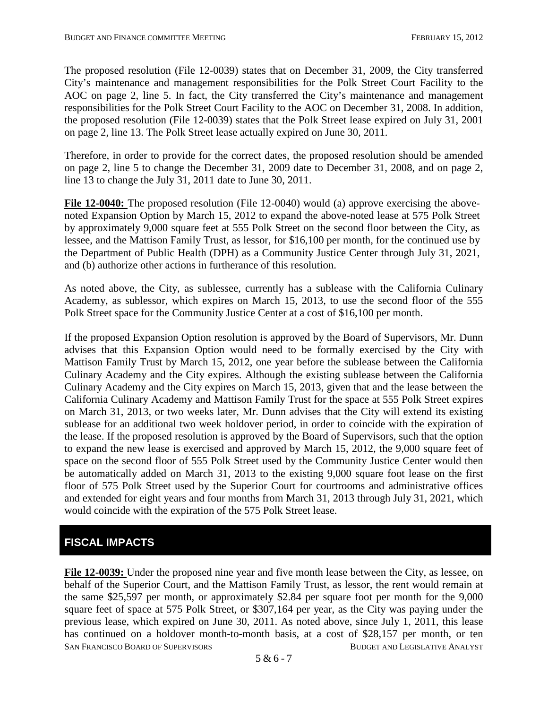The proposed resolution (File 12-0039) states that on December 31, 2009, the City transferred City's maintenance and management responsibilities for the Polk Street Court Facility to the AOC on page 2, line 5. In fact, the City transferred the City's maintenance and management responsibilities for the Polk Street Court Facility to the AOC on December 31, 2008. In addition, the proposed resolution (File 12-0039) states that the Polk Street lease expired on July 31, 2001 on page 2, line 13. The Polk Street lease actually expired on June 30, 2011.

Therefore, in order to provide for the correct dates, the proposed resolution should be amended on page 2, line 5 to change the December 31, 2009 date to December 31, 2008, and on page 2, line 13 to change the July 31, 2011 date to June 30, 2011.

File 12-0040: The proposed resolution (File 12-0040) would (a) approve exercising the abovenoted Expansion Option by March 15, 2012 to expand the above-noted lease at 575 Polk Street by approximately 9,000 square feet at 555 Polk Street on the second floor between the City, as lessee, and the Mattison Family Trust, as lessor, for \$16,100 per month, for the continued use by the Department of Public Health (DPH) as a Community Justice Center through July 31, 2021, and (b) authorize other actions in furtherance of this resolution.

As noted above, the City, as sublessee, currently has a sublease with the California Culinary Academy, as sublessor, which expires on March 15, 2013, to use the second floor of the 555 Polk Street space for the Community Justice Center at a cost of \$16,100 per month.

If the proposed Expansion Option resolution is approved by the Board of Supervisors, Mr. Dunn advises that this Expansion Option would need to be formally exercised by the City with Mattison Family Trust by March 15, 2012, one year before the sublease between the California Culinary Academy and the City expires. Although the existing sublease between the California Culinary Academy and the City expires on March 15, 2013, given that and the lease between the California Culinary Academy and Mattison Family Trust for the space at 555 Polk Street expires on March 31, 2013, or two weeks later, Mr. Dunn advises that the City will extend its existing sublease for an additional two week holdover period, in order to coincide with the expiration of the lease. If the proposed resolution is approved by the Board of Supervisors, such that the option to expand the new lease is exercised and approved by March 15, 2012, the 9,000 square feet of space on the second floor of 555 Polk Street used by the Community Justice Center would then be automatically added on March 31, 2013 to the existing 9,000 square foot lease on the first floor of 575 Polk Street used by the Superior Court for courtrooms and administrative offices and extended for eight years and four months from March 31, 2013 through July 31, 2021, which would coincide with the expiration of the 575 Polk Street lease.

# **FISCAL IMPACTS**

SAN FRANCISCO BOARD OF SUPERVISORS BUDGET AND LEGISLATIVE ANALYST **File 12-0039:** Under the proposed nine year and five month lease between the City, as lessee, on behalf of the Superior Court, and the Mattison Family Trust, as lessor, the rent would remain at the same \$25,597 per month, or approximately \$2.84 per square foot per month for the 9,000 square feet of space at 575 Polk Street, or \$307,164 per year, as the City was paying under the previous lease, which expired on June 30, 2011. As noted above, since July 1, 2011, this lease has continued on a holdover month-to-month basis, at a cost of \$28,157 per month, or ten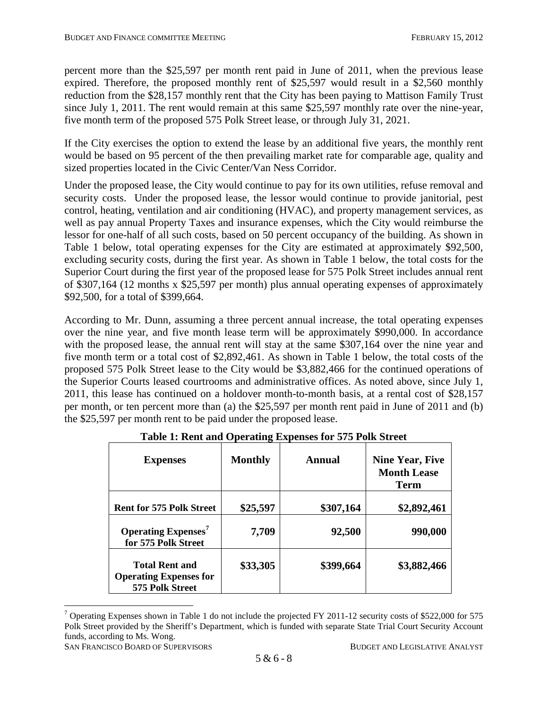percent more than the \$25,597 per month rent paid in June of 2011, when the previous lease expired. Therefore, the proposed monthly rent of \$25,597 would result in a \$2,560 monthly reduction from the \$28,157 monthly rent that the City has been paying to Mattison Family Trust since July 1, 2011. The rent would remain at this same \$25,597 monthly rate over the nine-year, five month term of the proposed 575 Polk Street lease, or through July 31, 2021.

If the City exercises the option to extend the lease by an additional five years, the monthly rent would be based on 95 percent of the then prevailing market rate for comparable age, quality and sized properties located in the Civic Center/Van Ness Corridor.

Under the proposed lease, the City would continue to pay for its own utilities, refuse removal and security costs. Under the proposed lease, the lessor would continue to provide janitorial, pest control, heating, ventilation and air conditioning (HVAC), and property management services, as well as pay annual Property Taxes and insurance expenses, which the City would reimburse the lessor for one-half of all such costs, based on 50 percent occupancy of the building. As shown in Table 1 below, total operating expenses for the City are estimated at approximately \$92,500, excluding security costs, during the first year. As shown in Table 1 below, the total costs for the Superior Court during the first year of the proposed lease for 575 Polk Street includes annual rent of \$307,164 (12 months x \$25,597 per month) plus annual operating expenses of approximately \$92,500, for a total of \$399,664.

According to Mr. Dunn, assuming a three percent annual increase, the total operating expenses over the nine year, and five month lease term will be approximately \$990,000. In accordance with the proposed lease, the annual rent will stay at the same \$307,164 over the nine year and five month term or a total cost of \$2,892,461. As shown in Table 1 below, the total costs of the proposed 575 Polk Street lease to the City would be \$3,882,466 for the continued operations of the Superior Courts leased courtrooms and administrative offices. As noted above, since July 1, 2011, this lease has continued on a holdover month-to-month basis, at a rental cost of \$28,157 per month, or ten percent more than (a) the \$25,597 per month rent paid in June of 2011 and (b) the \$25,597 per month rent to be paid under the proposed lease.

| <b>Expenses</b>                                                                                 | <b>Monthly</b>    | Annual              | <b>Nine Year, Five</b><br><b>Month Lease</b><br>Term |
|-------------------------------------------------------------------------------------------------|-------------------|---------------------|------------------------------------------------------|
| <b>Rent for 575 Polk Street</b><br><b>Operating Expenses<sup>7</sup></b><br>for 575 Polk Street | \$25,597<br>7,709 | \$307,164<br>92,500 | \$2,892,461<br>990,000                               |
| <b>Total Rent and</b><br><b>Operating Expenses for</b><br>575 Polk Street                       | \$33,305          | \$399,664           | \$3,882,466                                          |

**Table 1: Rent and Operating Expenses for 575 Polk Street**

SAN FRANCISCO BOARD OF SUPERVISORS BUDGET AND LEGISLATIVE ANALYST

<span id="page-8-0"></span> $7$  Operating Expenses shown in Table 1 do not include the projected FY 2011-12 security costs of \$522,000 for 575 Polk Street provided by the Sheriff's Department, which is funded with separate State Trial Court Security Account funds, according to Ms. Wong.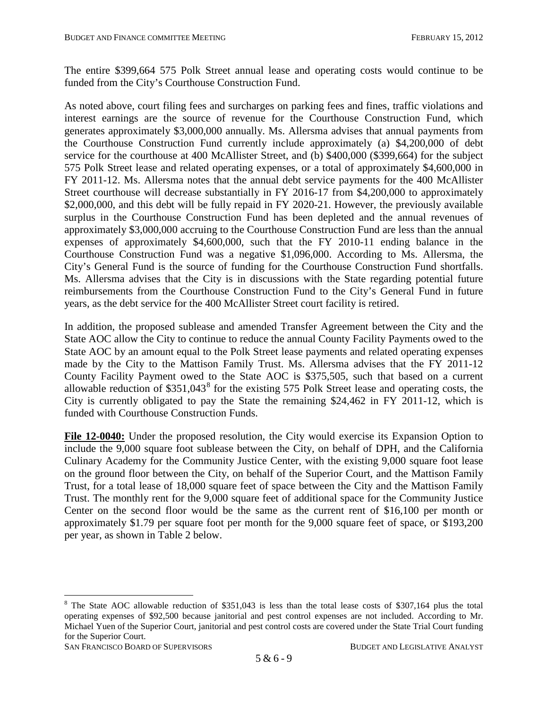The entire \$399,664 575 Polk Street annual lease and operating costs would continue to be funded from the City's Courthouse Construction Fund.

As noted above, court filing fees and surcharges on parking fees and fines, traffic violations and interest earnings are the source of revenue for the Courthouse Construction Fund, which generates approximately \$3,000,000 annually. Ms. Allersma advises that annual payments from the Courthouse Construction Fund currently include approximately (a) \$4,200,000 of debt service for the courthouse at 400 McAllister Street, and (b) \$400,000 (\$399,664) for the subject 575 Polk Street lease and related operating expenses, or a total of approximately \$4,600,000 in FY 2011-12. Ms. Allersma notes that the annual debt service payments for the 400 McAllister Street courthouse will decrease substantially in FY 2016-17 from \$4,200,000 to approximately \$2,000,000, and this debt will be fully repaid in FY 2020-21. However, the previously available surplus in the Courthouse Construction Fund has been depleted and the annual revenues of approximately \$3,000,000 accruing to the Courthouse Construction Fund are less than the annual expenses of approximately \$4,600,000, such that the FY 2010-11 ending balance in the Courthouse Construction Fund was a negative \$1,096,000. According to Ms. Allersma, the City's General Fund is the source of funding for the Courthouse Construction Fund shortfalls. Ms. Allersma advises that the City is in discussions with the State regarding potential future reimbursements from the Courthouse Construction Fund to the City's General Fund in future years, as the debt service for the 400 McAllister Street court facility is retired.

In addition, the proposed sublease and amended Transfer Agreement between the City and the State AOC allow the City to continue to reduce the annual County Facility Payments owed to the State AOC by an amount equal to the Polk Street lease payments and related operating expenses made by the City to the Mattison Family Trust. Ms. Allersma advises that the FY 2011-12 County Facility Payment owed to the State AOC is \$375,505, such that based on a current allowable reduction of \$351,043<sup>[8](#page-8-0)</sup> for the existing 575 Polk Street lease and operating costs, the City is currently obligated to pay the State the remaining \$24,462 in FY 2011-12, which is funded with Courthouse Construction Funds.

**File 12-0040:** Under the proposed resolution, the City would exercise its Expansion Option to include the 9,000 square foot sublease between the City, on behalf of DPH, and the California Culinary Academy for the Community Justice Center, with the existing 9,000 square foot lease on the ground floor between the City, on behalf of the Superior Court, and the Mattison Family Trust, for a total lease of 18,000 square feet of space between the City and the Mattison Family Trust. The monthly rent for the 9,000 square feet of additional space for the Community Justice Center on the second floor would be the same as the current rent of \$16,100 per month or approximately \$1.79 per square foot per month for the 9,000 square feet of space, or \$193,200 per year, as shown in Table 2 below.

<span id="page-9-0"></span>SAN FRANCISCO BOARD OF SUPERVISORS BUDGET AND LEGISLATIVE ANALYST

<sup>&</sup>lt;sup>8</sup> The State AOC allowable reduction of \$351,043 is less than the total lease costs of \$307,164 plus the total operating expenses of \$92,500 because janitorial and pest control expenses are not included. According to Mr. Michael Yuen of the Superior Court, janitorial and pest control costs are covered under the State Trial Court funding for the Superior Court.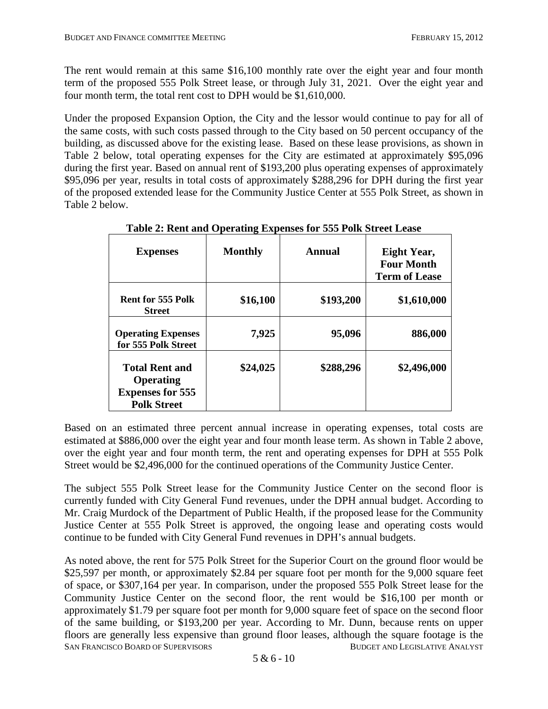The rent would remain at this same \$16,100 monthly rate over the eight year and four month term of the proposed 555 Polk Street lease, or through July 31, 2021. Over the eight year and four month term, the total rent cost to DPH would be \$1,610,000.

Under the proposed Expansion Option, the City and the lessor would continue to pay for all of the same costs, with such costs passed through to the City based on 50 percent occupancy of the building, as discussed above for the existing lease. Based on these lease provisions, as shown in Table 2 below, total operating expenses for the City are estimated at approximately \$95,096 during the first year. Based on annual rent of \$193,200 plus operating expenses of approximately \$95,096 per year, results in total costs of approximately \$288,296 for DPH during the first year of the proposed extended lease for the Community Justice Center at 555 Polk Street, as shown in Table 2 below.

| <b>Expenses</b>                                                                     | <b>Monthly</b> | Annual    | Eight Year,<br><b>Four Month</b><br><b>Term of Lease</b> |
|-------------------------------------------------------------------------------------|----------------|-----------|----------------------------------------------------------|
| <b>Rent for 555 Polk</b><br><b>Street</b>                                           | \$16,100       | \$193,200 | \$1,610,000                                              |
| <b>Operating Expenses</b><br>for 555 Polk Street                                    | 7,925          | 95,096    | 886,000                                                  |
| <b>Total Rent and</b><br>Operating<br><b>Expenses for 555</b><br><b>Polk Street</b> | \$24,025       | \$288,296 | \$2,496,000                                              |

**Table 2: Rent and Operating Expenses for 555 Polk Street Lease**

Based on an estimated three percent annual increase in operating expenses, total costs are estimated at \$886,000 over the eight year and four month lease term. As shown in Table 2 above, over the eight year and four month term, the rent and operating expenses for DPH at 555 Polk Street would be \$2,496,000 for the continued operations of the Community Justice Center.

The subject 555 Polk Street lease for the Community Justice Center on the second floor is currently funded with City General Fund revenues, under the DPH annual budget. According to Mr. Craig Murdock of the Department of Public Health, if the proposed lease for the Community Justice Center at 555 Polk Street is approved, the ongoing lease and operating costs would continue to be funded with City General Fund revenues in DPH's annual budgets.

SAN FRANCISCO BOARD OF SUPERVISORS EXAMPLE AND LEGISLATIVE ANALYST As noted above, the rent for 575 Polk Street for the Superior Court on the ground floor would be \$25,597 per month, or approximately \$2.84 per square foot per month for the 9,000 square feet of space, or \$307,164 per year. In comparison, under the proposed 555 Polk Street lease for the Community Justice Center on the second floor, the rent would be \$16,100 per month or approximately \$1.79 per square foot per month for 9,000 square feet of space on the second floor of the same building, or \$193,200 per year. According to Mr. Dunn, because rents on upper floors are generally less expensive than ground floor leases, although the square footage is the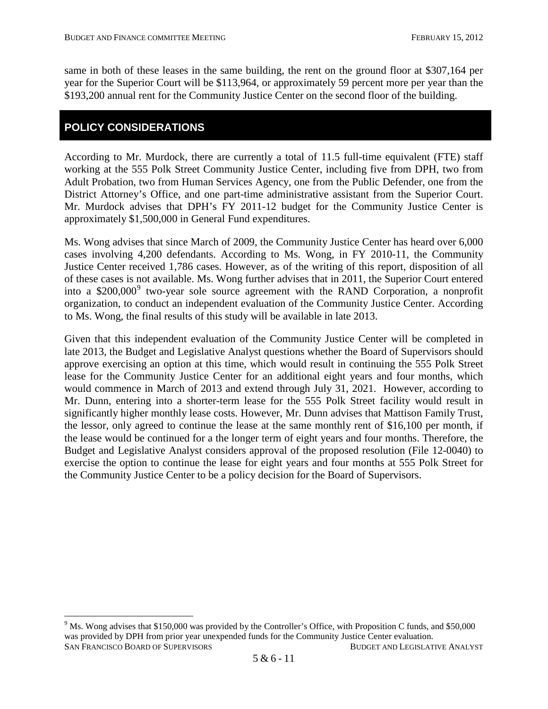same in both of these leases in the same building, the rent on the ground floor at \$307,164 per year for the Superior Court will be \$113,964, or approximately 59 percent more per year than the \$193,200 annual rent for the Community Justice Center on the second floor of the building.

## **POLICY CONSIDERATIONS**

According to Mr. Murdock, there are currently a total of 11.5 full-time equivalent (FTE) staff working at the 555 Polk Street Community Justice Center, including five from DPH, two from Adult Probation, two from Human Services Agency, one from the Public Defender, one from the District Attorney's Office, and one part-time administrative assistant from the Superior Court. Mr. Murdock advises that DPH's FY 2011-12 budget for the Community Justice Center is approximately \$1,500,000 in General Fund expenditures.

Ms. Wong advises that since March of 2009, the Community Justice Center has heard over 6,000 cases involving 4,200 defendants. According to Ms. Wong, in FY 2010-11, the Community Justice Center received 1,786 cases. However, as of the writing of this report, disposition of all of these cases is not available. Ms. Wong further advises that in 2011, the Superior Court entered into a \$200,000<sup>[9](#page-9-0)</sup> two-year sole source agreement with the RAND Corporation, a nonprofit organization, to conduct an independent evaluation of the Community Justice Center. According to Ms. Wong, the final results of this study will be available in late 2013.

Given that this independent evaluation of the Community Justice Center will be completed in late 2013, the Budget and Legislative Analyst questions whether the Board of Supervisors should approve exercising an option at this time, which would result in continuing the 555 Polk Street lease for the Community Justice Center for an additional eight years and four months, which would commence in March of 2013 and extend through July 31, 2021. However, according to Mr. Dunn, entering into a shorter-term lease for the 555 Polk Street facility would result in significantly higher monthly lease costs. However, Mr. Dunn advises that Mattison Family Trust, the lessor, only agreed to continue the lease at the same monthly rent of \$16,100 per month, if the lease would be continued for a the longer term of eight years and four months. Therefore, the Budget and Legislative Analyst considers approval of the proposed resolution (File 12-0040) to exercise the option to continue the lease for eight years and four months at 555 Polk Street for the Community Justice Center to be a policy decision for the Board of Supervisors.

SAN FRANCISCO BOARD OF SUPERVISORS BUDGET AND LEGISLATIVE ANALYST  $9$  Ms. Wong advises that \$150,000 was provided by the Controller's Office, with Proposition C funds, and \$50,000 was provided by DPH from prior year unexpended funds for the Community Justice Center evaluation.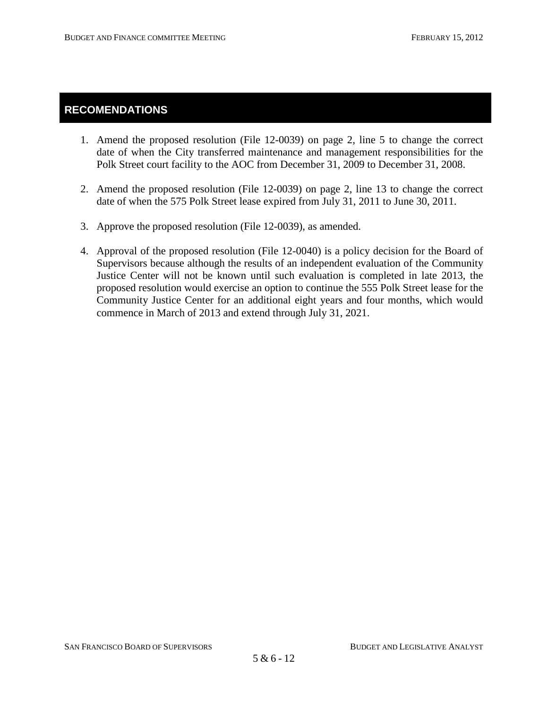# **RECOMENDATIONS**

- 1. Amend the proposed resolution (File 12-0039) on page 2, line 5 to change the correct date of when the City transferred maintenance and management responsibilities for the Polk Street court facility to the AOC from December 31, 2009 to December 31, 2008.
- 2. Amend the proposed resolution (File 12-0039) on page 2, line 13 to change the correct date of when the 575 Polk Street lease expired from July 31, 2011 to June 30, 2011.
- 3. Approve the proposed resolution (File 12-0039), as amended.
- 4. Approval of the proposed resolution (File 12-0040) is a policy decision for the Board of Supervisors because although the results of an independent evaluation of the Community Justice Center will not be known until such evaluation is completed in late 2013, the proposed resolution would exercise an option to continue the 555 Polk Street lease for the Community Justice Center for an additional eight years and four months, which would commence in March of 2013 and extend through July 31, 2021.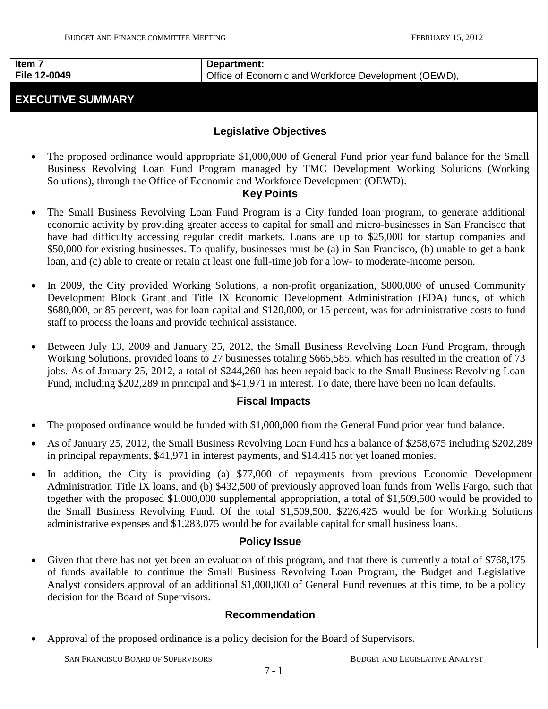#### **Item 7 File 12-0049**

# **EXECUTIVE SUMMARY**

## **Department:**  Office of Economic and Workforce Development (OEWD),

# **Legislative Objectives**

The proposed ordinance would appropriate \$1,000,000 of General Fund prior year fund balance for the Small Business Revolving Loan Fund Program managed by TMC Development Working Solutions (Working Solutions), through the Office of Economic and Workforce Development (OEWD).

## **Key Points**

- The Small Business Revolving Loan Fund Program is a City funded loan program, to generate additional economic activity by providing greater access to capital for small and micro-businesses in San Francisco that have had difficulty accessing regular credit markets. Loans are up to \$25,000 for startup companies and \$50,000 for existing businesses. To qualify, businesses must be (a) in San Francisco, (b) unable to get a bank loan, and (c) able to create or retain at least one full-time job for a low- to moderate-income person.
- In 2009, the City provided Working Solutions, a non-profit organization, \$800,000 of unused Community Development Block Grant and Title IX Economic Development Administration (EDA) funds, of which \$680,000, or 85 percent, was for loan capital and \$120,000, or 15 percent, was for administrative costs to fund staff to process the loans and provide technical assistance.
- Between July 13, 2009 and January 25, 2012, the Small Business Revolving Loan Fund Program, through Working Solutions, provided loans to 27 businesses totaling \$665,585, which has resulted in the creation of 73 jobs. As of January 25, 2012, a total of \$244,260 has been repaid back to the Small Business Revolving Loan Fund, including \$202,289 in principal and \$41,971 in interest. To date, there have been no loan defaults.

## **Fiscal Impacts**

- The proposed ordinance would be funded with \$1,000,000 from the General Fund prior year fund balance.
- As of January 25, 2012, the Small Business Revolving Loan Fund has a balance of \$258,675 including \$202,289 in principal repayments, \$41,971 in interest payments, and \$14,415 not yet loaned monies.
- In addition, the City is providing (a) \$77,000 of repayments from previous Economic Development Administration Title IX loans, and (b) \$432,500 of previously approved loan funds from Wells Fargo, such that together with the proposed \$1,000,000 supplemental appropriation, a total of \$1,509,500 would be provided to the Small Business Revolving Fund. Of the total \$1,509,500, \$226,425 would be for Working Solutions administrative expenses and \$1,283,075 would be for available capital for small business loans.

## **Policy Issue**

<span id="page-13-0"></span>Given that there has not yet been an evaluation of this program, and that there is currently a total of \$768,175 of funds available to continue the Small Business Revolving Loan Program, the Budget and Legislative Analyst considers approval of an additional \$1,000,000 of General Fund revenues at this time, to be a policy decision for the Board of Supervisors.

## **Recommendation**

• Approval of the proposed ordinance is a policy decision for the Board of Supervisors.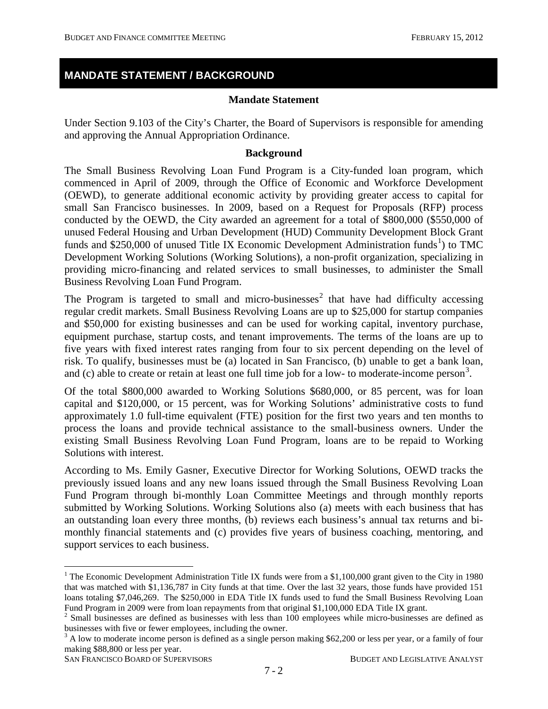# **MANDATE STATEMENT / BACKGROUND**

#### **Mandate Statement**

Under Section 9.103 of the City's Charter, the Board of Supervisors is responsible for amending and approving the Annual Appropriation Ordinance.

#### **Background**

The Small Business Revolving Loan Fund Program is a City-funded loan program, which commenced in April of 2009, through the Office of Economic and Workforce Development (OEWD), to generate additional economic activity by providing greater access to capital for small San Francisco businesses. In 2009, based on a Request for Proposals (RFP) process conducted by the OEWD, the City awarded an agreement for a total of \$800,000 (\$550,000 of unused Federal Housing and Urban Development (HUD) Community Development Block Grant funds and \$250,000 of unused Title IX Economic Development Administration funds<sup>[1](#page-13-0)</sup>) to TMC Development Working Solutions (Working Solutions), a non-profit organization, specializing in providing micro-financing and related services to small businesses, to administer the Small Business Revolving Loan Fund Program.

The Program is targeted to small and micro-businesses<sup>[2](#page-14-0)</sup> that have had difficulty accessing regular credit markets. Small Business Revolving Loans are up to \$25,000 for startup companies and \$50,000 for existing businesses and can be used for working capital, inventory purchase, equipment purchase, startup costs, and tenant improvements. The terms of the loans are up to five years with fixed interest rates ranging from four to six percent depending on the level of risk. To qualify, businesses must be (a) located in San Francisco, (b) unable to get a bank loan, and (c) able to create or retain at least one full time job for a low- to moderate-income person<sup>[3](#page-14-1)</sup>.

Of the total \$800,000 awarded to Working Solutions \$680,000, or 85 percent, was for loan capital and \$120,000, or 15 percent, was for Working Solutions' administrative costs to fund approximately 1.0 full-time equivalent (FTE) position for the first two years and ten months to process the loans and provide technical assistance to the small-business owners. Under the existing Small Business Revolving Loan Fund Program, loans are to be repaid to Working Solutions with interest.

According to Ms. Emily Gasner, Executive Director for Working Solutions, OEWD tracks the previously issued loans and any new loans issued through the Small Business Revolving Loan Fund Program through bi-monthly Loan Committee Meetings and through monthly reports submitted by Working Solutions. Working Solutions also (a) meets with each business that has an outstanding loan every three months, (b) reviews each business's annual tax returns and bimonthly financial statements and (c) provides five years of business coaching, mentoring, and support services to each business.

<sup>&</sup>lt;sup>1</sup> The Economic Development Administration Title IX funds were from a \$1,100,000 grant given to the City in 1980 that was matched with \$1,136,787 in City funds at that time. Over the last 32 years, those funds have provided 151 loans totaling \$7,046,269. The \$250,000 in EDA Title IX funds used to fund the Small Business Revolving Loan

<span id="page-14-0"></span>Fund Program in 2009 were from loan repayments from that original \$1,100,000 EDA Title IX grant.<br><sup>2</sup> Small businesses are defined as businesses with less than 100 employees while micro-businesses are defined as businesses with five or fewer employees, including the owner.

<span id="page-14-1"></span><sup>&</sup>lt;sup>3</sup> A low to moderate income person is defined as a single person making \$62,200 or less per year, or a family of four making \$88,800 or less per year.

SAN FRANCISCO BOARD OF SUPERVISORS BUDGET AND LEGISLATIVE ANALYST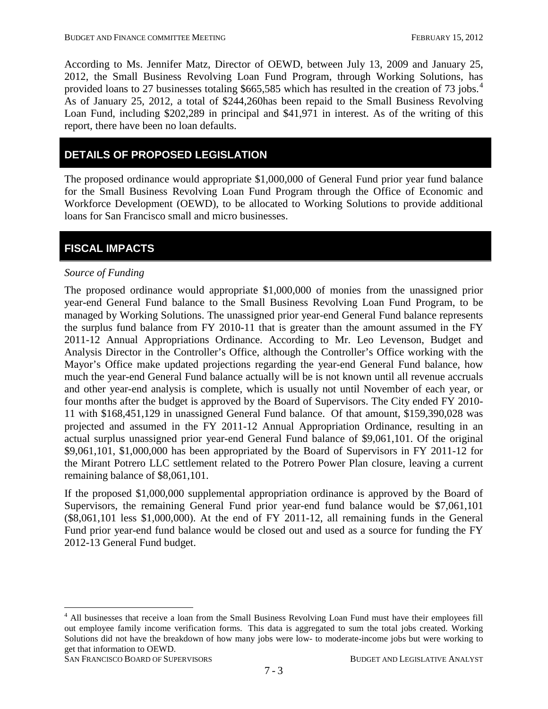According to Ms. Jennifer Matz, Director of OEWD, between July 13, 2009 and January 25, 2012, the Small Business Revolving Loan Fund Program, through Working Solutions, has provided loans to 27 businesses totaling \$665,585 which has resulted in the creation of 73 jobs.<sup>[4](#page-14-0)</sup> As of January 25, 2012, a total of \$244,260has been repaid to the Small Business Revolving Loan Fund, including \$202,289 in principal and \$41,971 in interest. As of the writing of this report, there have been no loan defaults.

# **DETAILS OF PROPOSED LEGISLATION**

The proposed ordinance would appropriate \$1,000,000 of General Fund prior year fund balance for the Small Business Revolving Loan Fund Program through the Office of Economic and Workforce Development (OEWD), to be allocated to Working Solutions to provide additional loans for San Francisco small and micro businesses.

# **FISCAL IMPACTS**

#### *Source of Funding*

The proposed ordinance would appropriate \$1,000,000 of monies from the unassigned prior year-end General Fund balance to the Small Business Revolving Loan Fund Program, to be managed by Working Solutions. The unassigned prior year-end General Fund balance represents the surplus fund balance from FY 2010-11 that is greater than the amount assumed in the FY 2011-12 Annual Appropriations Ordinance. According to Mr. Leo Levenson, Budget and Analysis Director in the Controller's Office, although the Controller's Office working with the Mayor's Office make updated projections regarding the year-end General Fund balance, how much the year-end General Fund balance actually will be is not known until all revenue accruals and other year-end analysis is complete, which is usually not until November of each year, or four months after the budget is approved by the Board of Supervisors. The City ended FY 2010- 11 with \$168,451,129 in unassigned General Fund balance. Of that amount, \$159,390,028 was projected and assumed in the FY 2011-12 Annual Appropriation Ordinance, resulting in an actual surplus unassigned prior year-end General Fund balance of \$9,061,101. Of the original \$9,061,101, \$1,000,000 has been appropriated by the Board of Supervisors in FY 2011-12 for the Mirant Potrero LLC settlement related to the Potrero Power Plan closure, leaving a current remaining balance of \$8,061,101.

<span id="page-15-0"></span>If the proposed \$1,000,000 supplemental appropriation ordinance is approved by the Board of Supervisors, the remaining General Fund prior year-end fund balance would be \$7,061,101 (\$8,061,101 less \$1,000,000). At the end of FY 2011-12, all remaining funds in the General Fund prior year-end fund balance would be closed out and used as a source for funding the FY 2012-13 General Fund budget.

```
SAN FRANCISCO BOARD OF SUPERVISORS BUDGET AND LEGISLATIVE ANALYST
```
<sup>&</sup>lt;sup>4</sup> All businesses that receive a loan from the Small Business Revolving Loan Fund must have their employees fill out employee family income verification forms. This data is aggregated to sum the total jobs created. Working Solutions did not have the breakdown of how many jobs were low- to moderate-income jobs but were working to get that information to OEWD.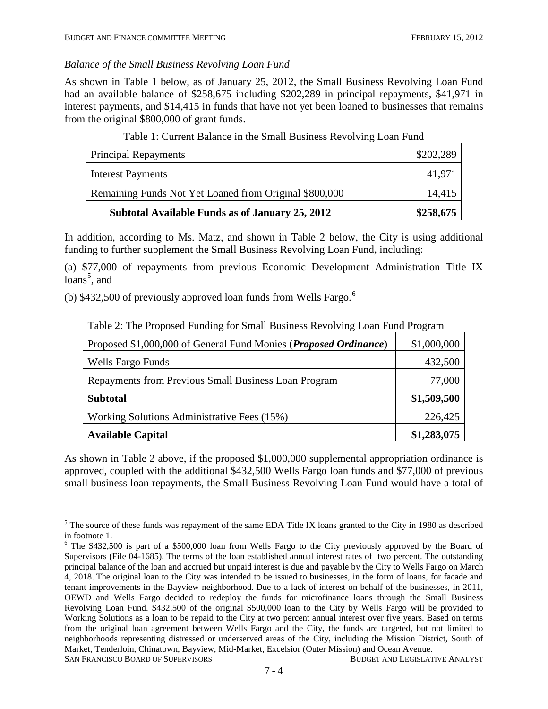## *Balance of the Small Business Revolving Loan Fund*

As shown in Table 1 below, as of January 25, 2012, the Small Business Revolving Loan Fund had an available balance of \$258,675 including \$202,289 in principal repayments, \$41,971 in interest payments, and \$14,415 in funds that have not yet been loaned to businesses that remains from the original \$800,000 of grant funds.

| <b>Principal Repayments</b>                            | \$202,289 |
|--------------------------------------------------------|-----------|
| <b>Interest Payments</b>                               | 41,971    |
| Remaining Funds Not Yet Loaned from Original \$800,000 | 14,415    |
| Subtotal Available Funds as of January 25, 2012        | \$258,675 |

## Table 1: Current Balance in the Small Business Revolving Loan Fund

In addition, according to Ms. Matz, and shown in Table 2 below, the City is using additional funding to further supplement the Small Business Revolving Loan Fund, including:

(a) \$77,000 of repayments from previous Economic Development Administration Title IX loans<sup>[5](#page-15-0)</sup>, and

(b) \$432,500 of previously approved loan funds from Wells Fargo.<sup>[6](#page-16-0)</sup>

| Proposed \$1,000,000 of General Fund Monies ( <i>Proposed Ordinance</i> ) | \$1,000,000 |
|---------------------------------------------------------------------------|-------------|
| Wells Fargo Funds                                                         | 432,500     |
| Repayments from Previous Small Business Loan Program                      | 77,000      |
| <b>Subtotal</b>                                                           | \$1,509,500 |
| Working Solutions Administrative Fees (15%)                               | 226,425     |
| <b>Available Capital</b>                                                  | \$1,283,075 |

Table 2: The Proposed Funding for Small Business Revolving Loan Fund Program

As shown in Table 2 above, if the proposed \$1,000,000 supplemental appropriation ordinance is approved, coupled with the additional \$432,500 Wells Fargo loan funds and \$77,000 of previous small business loan repayments, the Small Business Revolving Loan Fund would have a total of

<sup>&</sup>lt;sup>5</sup> The source of these funds was repayment of the same EDA Title IX loans granted to the City in 1980 as described in footnote 1.

<span id="page-16-0"></span>SAN FRANCISCO BOARD OF SUPERVISORS BUDGET AND LEGISLATIVE ANALYST <sup>6</sup> The \$432,500 is part of a \$500,000 loan from Wells Fargo to the City previously approved by the Board of Supervisors (File 04-1685). The terms of the loan established annual interest rates of two percent. The outstanding principal balance of the loan and accrued but unpaid interest is due and payable by the City to Wells Fargo on March 4, 2018. The original loan to the City was intended to be issued to businesses, in the form of loans, for facade and tenant improvements in the Bayview neighborhood. Due to a lack of interest on behalf of the businesses, in 2011, OEWD and Wells Fargo decided to redeploy the funds for microfinance loans through the Small Business Revolving Loan Fund. \$432,500 of the original \$500,000 loan to the City by Wells Fargo will be provided to Working Solutions as a loan to be repaid to the City at two percent annual interest over five years. Based on terms from the original loan agreement between Wells Fargo and the City, the funds are targeted, but not limited to neighborhoods representing distressed or underserved areas of the City, including the Mission District, South of Market, Tenderloin, Chinatown, Bayview, Mid-Market, Excelsior (Outer Mission) and Ocean Avenue.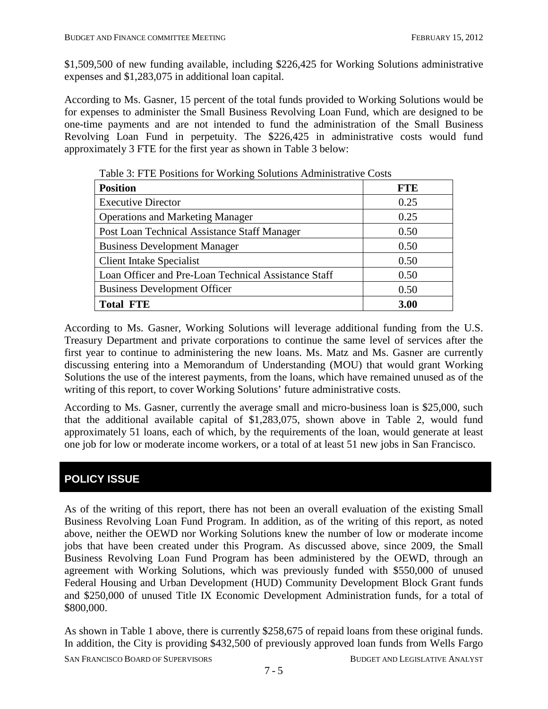\$1,509,500 of new funding available, including \$226,425 for Working Solutions administrative expenses and \$1,283,075 in additional loan capital.

According to Ms. Gasner, 15 percent of the total funds provided to Working Solutions would be for expenses to administer the Small Business Revolving Loan Fund, which are designed to be one-time payments and are not intended to fund the administration of the Small Business Revolving Loan Fund in perpetuity. The \$226,425 in administrative costs would fund approximately 3 FTE for the first year as shown in Table 3 below:

| <b>Position</b>                                      | <b>FTE</b> |
|------------------------------------------------------|------------|
| <b>Executive Director</b>                            | 0.25       |
| <b>Operations and Marketing Manager</b>              | 0.25       |
| Post Loan Technical Assistance Staff Manager         | 0.50       |
| <b>Business Development Manager</b>                  | 0.50       |
| <b>Client Intake Specialist</b>                      | 0.50       |
| Loan Officer and Pre-Loan Technical Assistance Staff | 0.50       |
| <b>Business Development Officer</b>                  | 0.50       |
| <b>Total FTE</b>                                     | 3.00       |

Table 3: FTE Positions for Working Solutions Administrative Costs

According to Ms. Gasner, Working Solutions will leverage additional funding from the U.S. Treasury Department and private corporations to continue the same level of services after the first year to continue to administering the new loans. Ms. Matz and Ms. Gasner are currently discussing entering into a Memorandum of Understanding (MOU) that would grant Working Solutions the use of the interest payments, from the loans, which have remained unused as of the writing of this report, to cover Working Solutions' future administrative costs.

According to Ms. Gasner, currently the average small and micro-business loan is \$25,000, such that the additional available capital of \$1,283,075, shown above in Table 2, would fund approximately 51 loans, each of which, by the requirements of the loan, would generate at least one job for low or moderate income workers, or a total of at least 51 new jobs in San Francisco.

# **POLICY ISSUE**

As of the writing of this report, there has not been an overall evaluation of the existing Small Business Revolving Loan Fund Program. In addition, as of the writing of this report, as noted above, neither the OEWD nor Working Solutions knew the number of low or moderate income jobs that have been created under this Program. As discussed above, since 2009, the Small Business Revolving Loan Fund Program has been administered by the OEWD, through an agreement with Working Solutions, which was previously funded with \$550,000 of unused Federal Housing and Urban Development (HUD) Community Development Block Grant funds and \$250,000 of unused Title IX Economic Development Administration funds, for a total of \$800,000.

As shown in Table 1 above, there is currently \$258,675 of repaid loans from these original funds. In addition, the City is providing \$432,500 of previously approved loan funds from Wells Fargo

SAN FRANCISCO BOARD OF SUPERVISORS BUDGET AND LEGISLATIVE ANALYST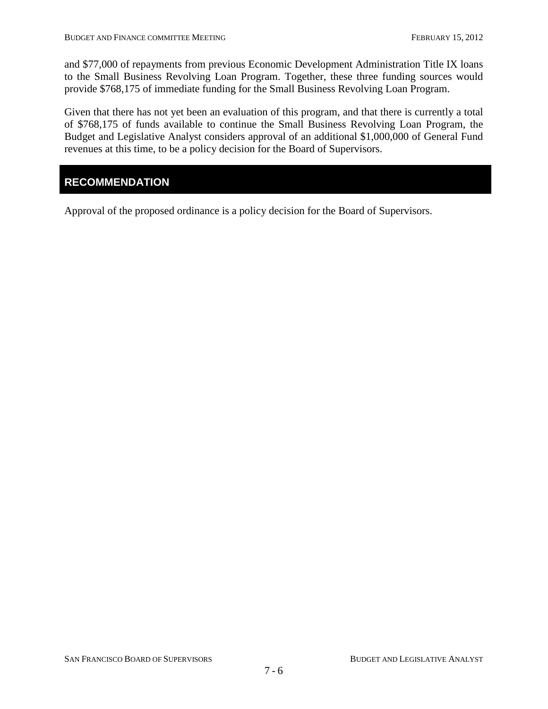and \$77,000 of repayments from previous Economic Development Administration Title IX loans to the Small Business Revolving Loan Program. Together, these three funding sources would provide \$768,175 of immediate funding for the Small Business Revolving Loan Program.

Given that there has not yet been an evaluation of this program, and that there is currently a total of \$768,175 of funds available to continue the Small Business Revolving Loan Program, the Budget and Legislative Analyst considers approval of an additional \$1,000,000 of General Fund revenues at this time, to be a policy decision for the Board of Supervisors.

## **RECOMMENDATION**

Approval of the proposed ordinance is a policy decision for the Board of Supervisors.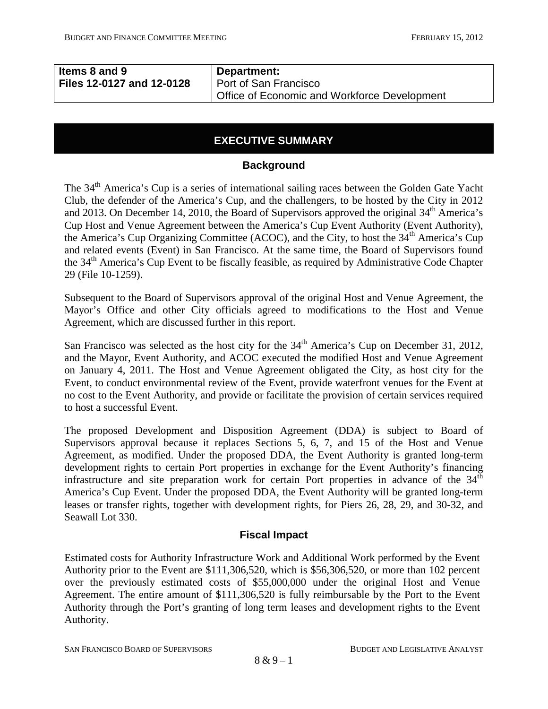| Items 8 and 9             | Department:                                  |
|---------------------------|----------------------------------------------|
| Files 12-0127 and 12-0128 | Port of San Francisco                        |
|                           | Office of Economic and Workforce Development |

# **EXECUTIVE SUMMARY**

#### **Background**

The 34<sup>th</sup> America's Cup is a series of international sailing races between the Golden Gate Yacht Club, the defender of the America's Cup, and the challengers, to be hosted by the City in 2012 and 2013. On December 14, 2010, the Board of Supervisors approved the original  $34<sup>th</sup>$  America's Cup Host and Venue Agreement between the America's Cup Event Authority (Event Authority), the America's Cup Organizing Committee (ACOC), and the City, to host the 34th America's Cup and related events (Event) in San Francisco. At the same time, the Board of Supervisors found the 34<sup>th</sup> America's Cup Event to be fiscally feasible, as required by Administrative Code Chapter 29 (File 10-1259).

Subsequent to the Board of Supervisors approval of the original Host and Venue Agreement, the Mayor's Office and other City officials agreed to modifications to the Host and Venue Agreement, which are discussed further in this report.

San Francisco was selected as the host city for the  $34<sup>th</sup>$  America's Cup on December 31, 2012, and the Mayor, Event Authority, and ACOC executed the modified Host and Venue Agreement on January 4, 2011. The Host and Venue Agreement obligated the City, as host city for the Event, to conduct environmental review of the Event, provide waterfront venues for the Event at no cost to the Event Authority, and provide or facilitate the provision of certain services required to host a successful Event.

The proposed Development and Disposition Agreement (DDA) is subject to Board of Supervisors approval because it replaces Sections 5, 6, 7, and 15 of the Host and Venue Agreement, as modified. Under the proposed DDA, the Event Authority is granted long-term development rights to certain Port properties in exchange for the Event Authority's financing infrastructure and site preparation work for certain Port properties in advance of the  $34<sup>th</sup>$ America's Cup Event. Under the proposed DDA, the Event Authority will be granted long-term leases or transfer rights, together with development rights, for Piers 26, 28, 29, and 30-32, and Seawall Lot 330.

## **Fiscal Impact**

<span id="page-19-0"></span>Estimated costs for Authority Infrastructure Work and Additional Work performed by the Event Authority prior to the Event are \$111,306,520, which is \$56,306,520, or more than 102 percent over the previously estimated costs of \$55,000,000 under the original Host and Venue Agreement. The entire amount of \$111,306,520 is fully reimbursable by the Port to the Event Authority through the Port's granting of long term leases and development rights to the Event Authority.

SAN FRANCISCO BOARD OF SUPERVISORS BUDGET AND LEGISLATIVE ANALYST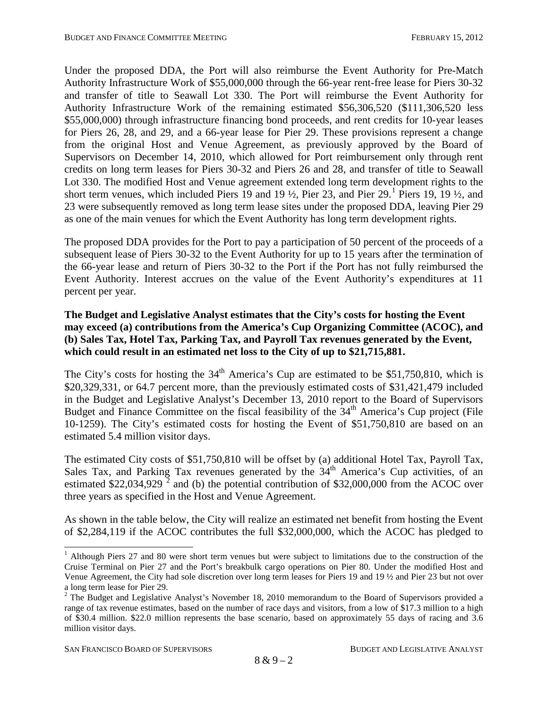Under the proposed DDA, the Port will also reimburse the Event Authority for Pre-Match Authority Infrastructure Work of \$55,000,000 through the 66-year rent-free lease for Piers 30-32 and transfer of title to Seawall Lot 330. The Port will reimburse the Event Authority for Authority Infrastructure Work of the remaining estimated \$56,306,520 (\$111,306,520 less \$55,000,000) through infrastructure financing bond proceeds, and rent credits for 10-year leases for Piers 26, 28, and 29, and a 66-year lease for Pier 29. These provisions represent a change from the original Host and Venue Agreement, as previously approved by the Board of Supervisors on December 14, 2010, which allowed for Port reimbursement only through rent credits on long term leases for Piers 30-32 and Piers 26 and 28, and transfer of title to Seawall Lot 330. The modified Host and Venue agreement extended long term development rights to the short term venues, which included Piers [1](#page-19-0)9 and 19  $\frac{1}{2}$ , Pier 23, and Pier 29.<sup>1</sup> Piers 19, 19  $\frac{1}{2}$ , and 23 were subsequently removed as long term lease sites under the proposed DDA, leaving Pier 29 as one of the main venues for which the Event Authority has long term development rights.

The proposed DDA provides for the Port to pay a participation of 50 percent of the proceeds of a subsequent lease of Piers 30-32 to the Event Authority for up to 15 years after the termination of the 66-year lease and return of Piers 30-32 to the Port if the Port has not fully reimbursed the Event Authority. Interest accrues on the value of the Event Authority's expenditures at 11 percent per year.

#### **The Budget and Legislative Analyst estimates that the City's costs for hosting the Event may exceed (a) contributions from the America's Cup Organizing Committee (ACOC), and (b) Sales Tax, Hotel Tax, Parking Tax, and Payroll Tax revenues generated by the Event, which could result in an estimated net loss to the City of up to \$21,715,881.**

The City's costs for hosting the  $34<sup>th</sup>$  America's Cup are estimated to be \$51,750,810, which is \$20,329,331, or 64.7 percent more, than the previously estimated costs of \$31,421,479 included in the Budget and Legislative Analyst's December 13, 2010 report to the Board of Supervisors Budget and Finance Committee on the fiscal feasibility of the  $34<sup>th</sup>$  America's Cup project (File 10-1259). The City's estimated costs for hosting the Event of \$51,750,810 are based on an estimated 5.4 million visitor days.

The estimated City costs of \$51,750,810 will be offset by (a) additional Hotel Tax, Payroll Tax, Sales Tax, and Parking Tax revenues generated by the  $34<sup>th</sup>$  America's Cup activities, of an estimated  $$22,034,929$  $$22,034,929$  $$22,034,929$ <sup>2</sup> and (b) the potential contribution of \$32,000,000 from the ACOC over three years as specified in the Host and Venue Agreement.

As shown in the table below, the City will realize an estimated net benefit from hosting the Event of \$2,284,119 if the ACOC contributes the full \$32,000,000, which the ACOC has pledged to

<sup>&</sup>lt;sup>1</sup> Although Piers 27 and 80 were short term venues but were subject to limitations due to the construction of the Cruise Terminal on Pier 27 and the Port's breakbulk cargo operations on Pier 80. Under the modified Host and Venue Agreement, the City had sole discretion over long term leases for Piers 19 and 19 ½ and Pier 23 but not over a long term lease for Pier 29.

<span id="page-20-1"></span><span id="page-20-0"></span> $2$  The Budget and Legislative Analyst's November 18, 2010 memorandum to the Board of Supervisors provided a range of tax revenue estimates, based on the number of race days and visitors, from a low of \$17.3 million to a high of \$30.4 million. \$22.0 million represents the base scenario, based on approximately 55 days of racing and 3.6 million visitor days.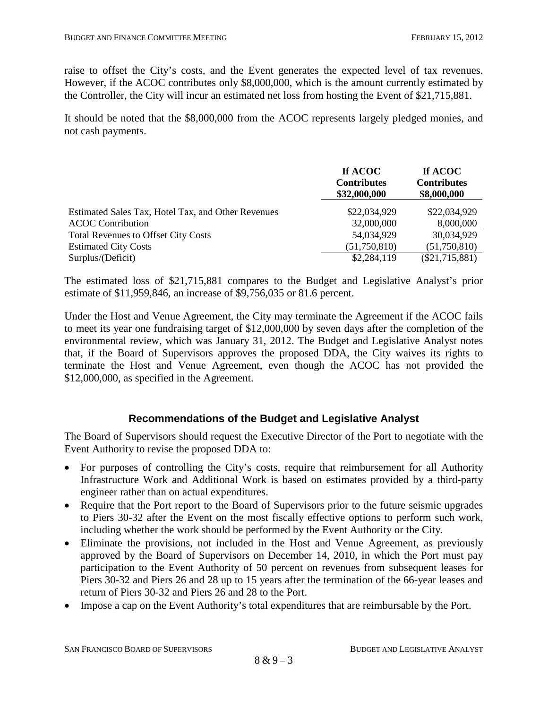raise to offset the City's costs, and the Event generates the expected level of tax revenues. However, if the ACOC contributes only \$8,000,000, which is the amount currently estimated by the Controller, the City will incur an estimated net loss from hosting the Event of \$21,715,881.

It should be noted that the \$8,000,000 from the ACOC represents largely pledged monies, and not cash payments.

|                                                    | If ACOC<br><b>Contributes</b><br>\$32,000,000 | If ACOC<br><b>Contributes</b><br>\$8,000,000 |
|----------------------------------------------------|-----------------------------------------------|----------------------------------------------|
| Estimated Sales Tax, Hotel Tax, and Other Revenues | \$22,034,929                                  | \$22,034,929                                 |
| <b>ACOC</b> Contribution                           | 32,000,000                                    | 8,000,000                                    |
| <b>Total Revenues to Offset City Costs</b>         | 54,034,929                                    | 30,034,929                                   |
| <b>Estimated City Costs</b>                        | (51,750,810)                                  | (51,750,810)                                 |
| Surplus/(Deficit)                                  | \$2,284,119                                   | $(\$21,715,881)$                             |

The estimated loss of \$21,715,881 compares to the Budget and Legislative Analyst's prior estimate of \$11,959,846, an increase of \$9,756,035 or 81.6 percent.

Under the Host and Venue Agreement, the City may terminate the Agreement if the ACOC fails to meet its year one fundraising target of \$12,000,000 by seven days after the completion of the environmental review, which was January 31, 2012. The Budget and Legislative Analyst notes that, if the Board of Supervisors approves the proposed DDA, the City waives its rights to terminate the Host and Venue Agreement, even though the ACOC has not provided the \$12,000,000, as specified in the Agreement.

## **Recommendations of the Budget and Legislative Analyst**

The Board of Supervisors should request the Executive Director of the Port to negotiate with the Event Authority to revise the proposed DDA to:

- For purposes of controlling the City's costs, require that reimbursement for all Authority Infrastructure Work and Additional Work is based on estimates provided by a third-party engineer rather than on actual expenditures.
- Require that the Port report to the Board of Supervisors prior to the future seismic upgrades to Piers 30-32 after the Event on the most fiscally effective options to perform such work, including whether the work should be performed by the Event Authority or the City.
- Eliminate the provisions, not included in the Host and Venue Agreement, as previously approved by the Board of Supervisors on December 14, 2010, in which the Port must pay participation to the Event Authority of 50 percent on revenues from subsequent leases for Piers 30-32 and Piers 26 and 28 up to 15 years after the termination of the 66-year leases and return of Piers 30-32 and Piers 26 and 28 to the Port.
- Impose a cap on the Event Authority's total expenditures that are reimbursable by the Port.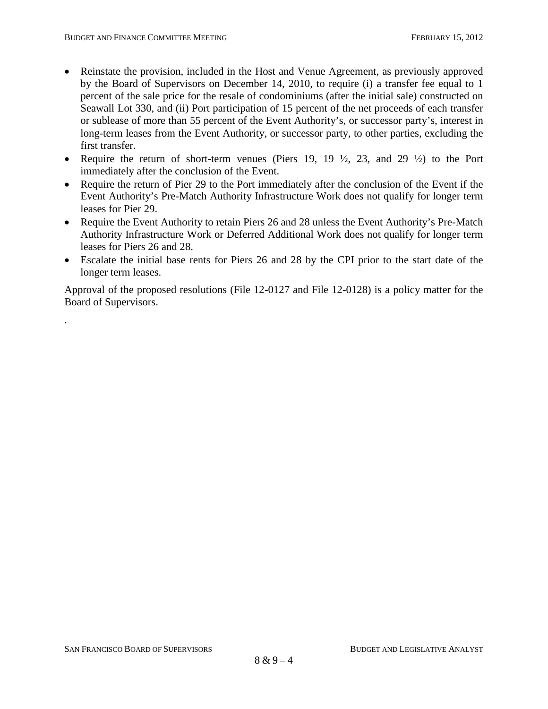.

- Reinstate the provision, included in the Host and Venue Agreement, as previously approved by the Board of Supervisors on December 14, 2010, to require (i) a transfer fee equal to 1 percent of the sale price for the resale of condominiums (after the initial sale) constructed on Seawall Lot 330, and (ii) Port participation of 15 percent of the net proceeds of each transfer or sublease of more than 55 percent of the Event Authority's, or successor party's, interest in long-term leases from the Event Authority, or successor party, to other parties, excluding the first transfer.
- Require the return of short-term venues (Piers 19, 19  $\frac{1}{2}$ , 23, and 29  $\frac{1}{2}$ ) to the Port immediately after the conclusion of the Event.
- Require the return of Pier 29 to the Port immediately after the conclusion of the Event if the Event Authority's Pre-Match Authority Infrastructure Work does not qualify for longer term leases for Pier 29.
- Require the Event Authority to retain Piers 26 and 28 unless the Event Authority's Pre-Match Authority Infrastructure Work or Deferred Additional Work does not qualify for longer term leases for Piers 26 and 28.
- Escalate the initial base rents for Piers 26 and 28 by the CPI prior to the start date of the longer term leases.

Approval of the proposed resolutions (File 12-0127 and File 12-0128) is a policy matter for the Board of Supervisors.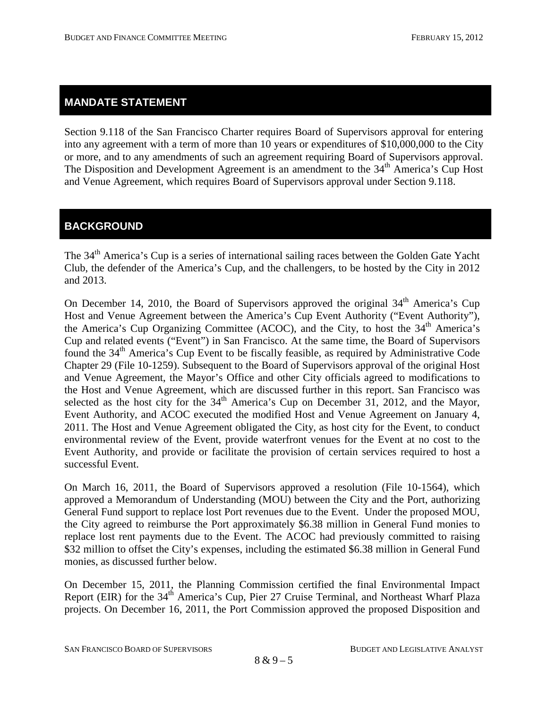## **MANDATE STATEMENT**

Section 9.118 of the San Francisco Charter requires Board of Supervisors approval for entering into any agreement with a term of more than 10 years or expenditures of \$10,000,000 to the City or more, and to any amendments of such an agreement requiring Board of Supervisors approval. The Disposition and Development Agreement is an amendment to the 34<sup>th</sup> America's Cup Host and Venue Agreement, which requires Board of Supervisors approval under Section 9.118.

# **BACKGROUND**

The 34<sup>th</sup> America's Cup is a series of international sailing races between the Golden Gate Yacht Club, the defender of the America's Cup, and the challengers, to be hosted by the City in 2012 and 2013.

On December 14, 2010, the Board of Supervisors approved the original  $34<sup>th</sup>$  America's Cup Host and Venue Agreement between the America's Cup Event Authority ("Event Authority"), the America's Cup Organizing Committee (ACOC), and the City, to host the 34<sup>th</sup> America's Cup and related events ("Event") in San Francisco. At the same time, the Board of Supervisors found the 34<sup>th</sup> America's Cup Event to be fiscally feasible, as required by Administrative Code Chapter 29 (File 10-1259). Subsequent to the Board of Supervisors approval of the original Host and Venue Agreement, the Mayor's Office and other City officials agreed to modifications to the Host and Venue Agreement, which are discussed further in this report. San Francisco was selected as the host city for the  $34<sup>th</sup>$  America's Cup on December 31, 2012, and the Mayor, Event Authority, and ACOC executed the modified Host and Venue Agreement on January 4, 2011. The Host and Venue Agreement obligated the City, as host city for the Event, to conduct environmental review of the Event, provide waterfront venues for the Event at no cost to the Event Authority, and provide or facilitate the provision of certain services required to host a successful Event.

On March 16, 2011, the Board of Supervisors approved a resolution (File 10-1564), which approved a Memorandum of Understanding (MOU) between the City and the Port, authorizing General Fund support to replace lost Port revenues due to the Event. Under the proposed MOU, the City agreed to reimburse the Port approximately \$6.38 million in General Fund monies to replace lost rent payments due to the Event. The ACOC had previously committed to raising \$32 million to offset the City's expenses, including the estimated \$6.38 million in General Fund monies, as discussed further below.

On December 15, 2011, the Planning Commission certified the final Environmental Impact Report (EIR) for the 34<sup>th</sup> America's Cup, Pier 27 Cruise Terminal, and Northeast Wharf Plaza projects. On December 16, 2011, the Port Commission approved the proposed Disposition and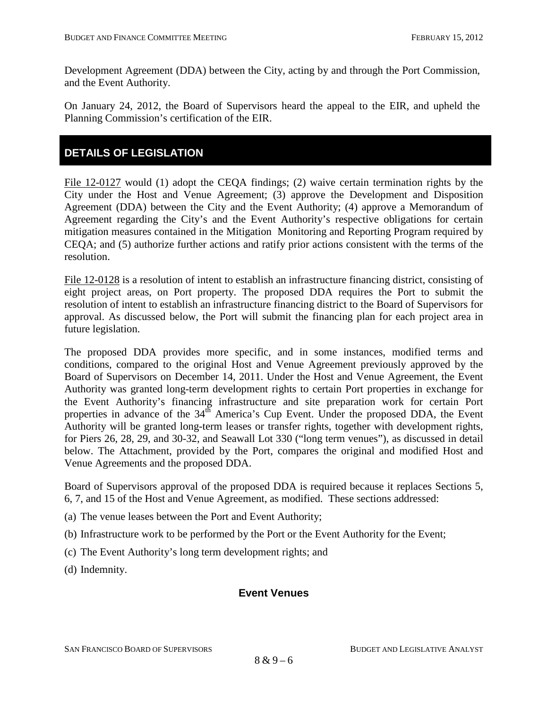Development Agreement (DDA) between the City, acting by and through the Port Commission, and the Event Authority.

On January 24, 2012, the Board of Supervisors heard the appeal to the EIR, and upheld the Planning Commission's certification of the EIR.

# **DETAILS OF LEGISLATION**

File 12-0127 would (1) adopt the CEQA findings; (2) waive certain termination rights by the City under the Host and Venue Agreement; (3) approve the Development and Disposition Agreement (DDA) between the City and the Event Authority; (4) approve a Memorandum of Agreement regarding the City's and the Event Authority's respective obligations for certain mitigation measures contained in the Mitigation Monitoring and Reporting Program required by CEQA; and (5) authorize further actions and ratify prior actions consistent with the terms of the resolution.

File 12-0128 is a resolution of intent to establish an infrastructure financing district, consisting of eight project areas, on Port property. The proposed DDA requires the Port to submit the resolution of intent to establish an infrastructure financing district to the Board of Supervisors for approval. As discussed below, the Port will submit the financing plan for each project area in future legislation.

The proposed DDA provides more specific, and in some instances, modified terms and conditions, compared to the original Host and Venue Agreement previously approved by the Board of Supervisors on December 14, 2011. Under the Host and Venue Agreement, the Event Authority was granted long-term development rights to certain Port properties in exchange for the Event Authority's financing infrastructure and site preparation work for certain Port properties in advance of the  $34<sup>th</sup>$  America's Cup Event. Under the proposed DDA, the Event Authority will be granted long-term leases or transfer rights, together with development rights, for Piers 26, 28, 29, and 30-32, and Seawall Lot 330 ("long term venues"), as discussed in detail below. The Attachment, provided by the Port, compares the original and modified Host and Venue Agreements and the proposed DDA.

Board of Supervisors approval of the proposed DDA is required because it replaces Sections 5, 6, 7, and 15 of the Host and Venue Agreement, as modified. These sections addressed:

- (a) The venue leases between the Port and Event Authority;
- (b) Infrastructure work to be performed by the Port or the Event Authority for the Event;
- (c) The Event Authority's long term development rights; and
- (d) Indemnity.

## **Event Venues**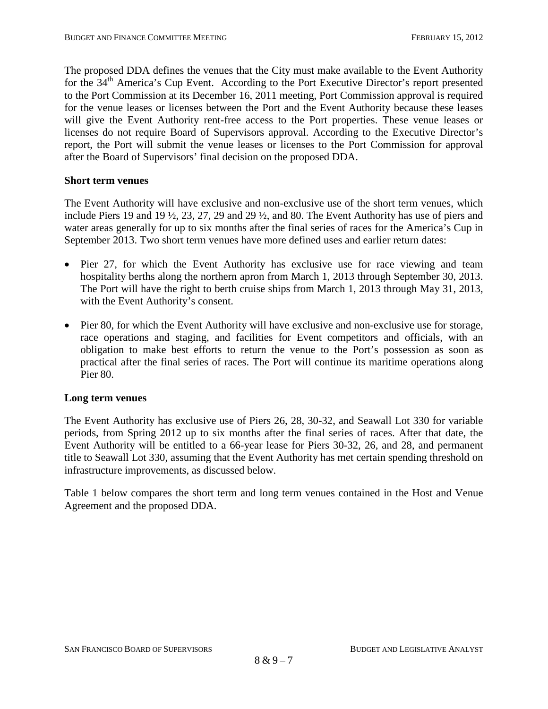The proposed DDA defines the venues that the City must make available to the Event Authority for the 34th America's Cup Event. According to the Port Executive Director's report presented to the Port Commission at its December 16, 2011 meeting, Port Commission approval is required for the venue leases or licenses between the Port and the Event Authority because these leases will give the Event Authority rent-free access to the Port properties. These venue leases or licenses do not require Board of Supervisors approval. According to the Executive Director's report, the Port will submit the venue leases or licenses to the Port Commission for approval after the Board of Supervisors' final decision on the proposed DDA.

#### **Short term venues**

The Event Authority will have exclusive and non-exclusive use of the short term venues, which include Piers 19 and 19 ½, 23, 27, 29 and 29 ½, and 80. The Event Authority has use of piers and water areas generally for up to six months after the final series of races for the America's Cup in September 2013. Two short term venues have more defined uses and earlier return dates:

- Pier 27, for which the Event Authority has exclusive use for race viewing and team hospitality berths along the northern apron from March 1, 2013 through September 30, 2013. The Port will have the right to berth cruise ships from March 1, 2013 through May 31, 2013, with the Event Authority's consent.
- Pier 80, for which the Event Authority will have exclusive and non-exclusive use for storage, race operations and staging, and facilities for Event competitors and officials, with an obligation to make best efforts to return the venue to the Port's possession as soon as practical after the final series of races. The Port will continue its maritime operations along Pier 80.

#### **Long term venues**

The Event Authority has exclusive use of Piers 26, 28, 30-32, and Seawall Lot 330 for variable periods, from Spring 2012 up to six months after the final series of races. After that date, the Event Authority will be entitled to a 66-year lease for Piers 30-32, 26, and 28, and permanent title to Seawall Lot 330, assuming that the Event Authority has met certain spending threshold on infrastructure improvements, as discussed below.

Table 1 below compares the short term and long term venues contained in the Host and Venue Agreement and the proposed DDA.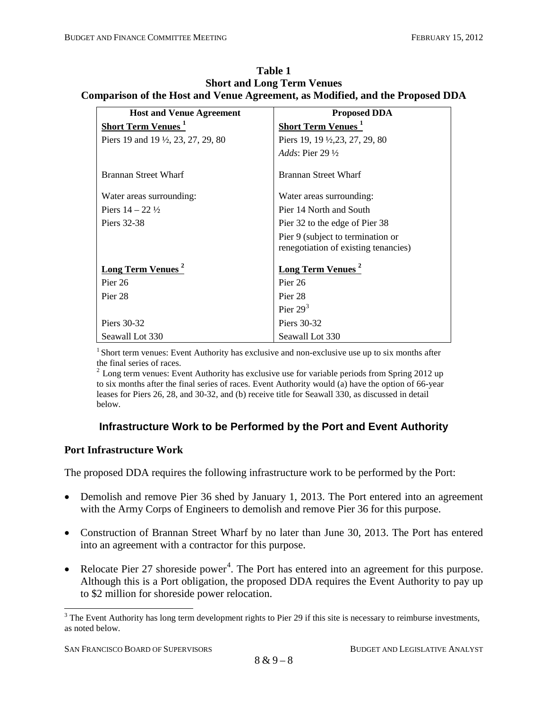| <b>Host and Venue Agreement</b>                | <b>Proposed DDA</b>                   |
|------------------------------------------------|---------------------------------------|
| Short Term Venues <sup>1</sup>                 | <b>Short Term Venues</b> <sup>1</sup> |
| Piers 19 and 19 $\frac{1}{2}$ , 23, 27, 29, 80 | Piers 19, 19 ½, 23, 27, 29, 80        |
|                                                | Adds: Pier 29 $\frac{1}{2}$           |
| <b>Brannan Street Wharf</b>                    | <b>Brannan Street Wharf</b>           |
| Water areas surrounding:                       | Water areas surrounding:              |
| Piers $14 - 22 \frac{1}{2}$                    | Pier 14 North and South               |
| Piers 32-38                                    | Pier 32 to the edge of Pier 38        |
|                                                | Pier 9 (subject to termination or     |
|                                                | renegotiation of existing tenancies)  |
| Long Term Venues <sup>2</sup>                  | <b>Long Term Venues</b> <sup>2</sup>  |
| Pier 26                                        | Pier 26                               |
| Pier 28                                        | Pier 28                               |
|                                                | Pier $293$                            |
| Piers 30-32                                    | Piers 30-32                           |
| Seawall Lot 330                                | Seawall Lot 330                       |

**Table 1 Short and Long Term Venues Comparison of the Host and Venue Agreement, as Modified, and the Proposed DDA**

<sup>1</sup> Short term venues: Event Authority has exclusive and non-exclusive use up to six months after the final series of races.

<sup>2</sup> Long term venues: Event Authority has exclusive use for variable periods from Spring 2012 up to six months after the final series of races. Event Authority would (a) have the option of 66-year leases for Piers 26, 28, and 30-32, and (b) receive title for Seawall 330, as discussed in detail below.

## **Infrastructure Work to be Performed by the Port and Event Authority**

## **Port Infrastructure Work**

The proposed DDA requires the following infrastructure work to be performed by the Port:

- Demolish and remove Pier 36 shed by January 1, 2013. The Port entered into an agreement with the Army Corps of Engineers to demolish and remove Pier 36 for this purpose.
- Construction of Brannan Street Wharf by no later than June 30, 2013. The Port has entered into an agreement with a contractor for this purpose.
- Relocate Pier 27 shoreside power<sup>[4](#page-26-0)</sup>. The Port has entered into an agreement for this purpose. Although this is a Port obligation, the proposed DDA requires the Event Authority to pay up to \$2 million for shoreside power relocation.

<span id="page-26-1"></span><span id="page-26-0"></span><sup>&</sup>lt;sup>3</sup> The Event Authority has long term development rights to Pier 29 if this site is necessary to reimburse investments, as noted below.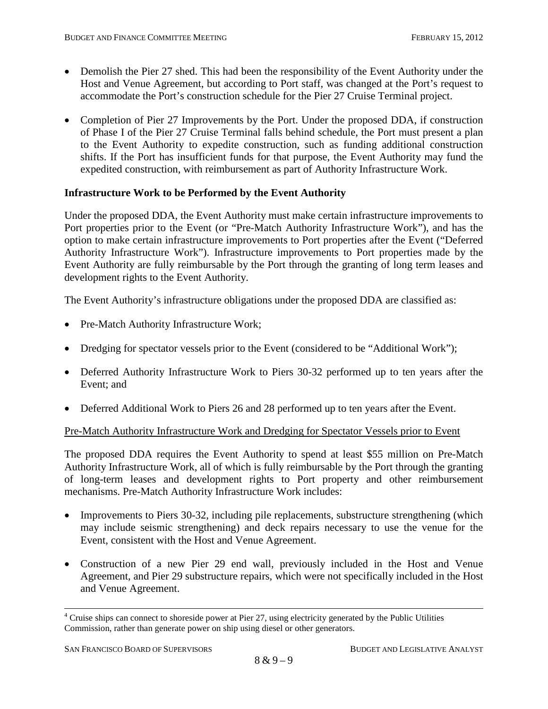- Demolish the Pier 27 shed. This had been the responsibility of the Event Authority under the Host and Venue Agreement, but according to Port staff, was changed at the Port's request to accommodate the Port's construction schedule for the Pier 27 Cruise Terminal project.
- Completion of Pier 27 Improvements by the Port. Under the proposed DDA, if construction of Phase I of the Pier 27 Cruise Terminal falls behind schedule, the Port must present a plan to the Event Authority to expedite construction, such as funding additional construction shifts. If the Port has insufficient funds for that purpose, the Event Authority may fund the expedited construction, with reimbursement as part of Authority Infrastructure Work.

#### **Infrastructure Work to be Performed by the Event Authority**

Under the proposed DDA, the Event Authority must make certain infrastructure improvements to Port properties prior to the Event (or "Pre-Match Authority Infrastructure Work"), and has the option to make certain infrastructure improvements to Port properties after the Event ("Deferred Authority Infrastructure Work"). Infrastructure improvements to Port properties made by the Event Authority are fully reimbursable by the Port through the granting of long term leases and development rights to the Event Authority.

The Event Authority's infrastructure obligations under the proposed DDA are classified as:

- Pre-Match Authority Infrastructure Work;
- Dredging for spectator vessels prior to the Event (considered to be "Additional Work");
- Deferred Authority Infrastructure Work to Piers 30-32 performed up to ten years after the Event; and
- Deferred Additional Work to Piers 26 and 28 performed up to ten years after the Event.

#### Pre-Match Authority Infrastructure Work and Dredging for Spectator Vessels prior to Event

The proposed DDA requires the Event Authority to spend at least \$55 million on Pre-Match Authority Infrastructure Work, all of which is fully reimbursable by the Port through the granting of long-term leases and development rights to Port property and other reimbursement mechanisms. Pre-Match Authority Infrastructure Work includes:

- Improvements to Piers 30-32, including pile replacements, substructure strengthening (which may include seismic strengthening) and deck repairs necessary to use the venue for the Event, consistent with the Host and Venue Agreement.
- Construction of a new Pier 29 end wall, previously included in the Host and Venue Agreement, and Pier 29 substructure repairs, which were not specifically included in the Host and Venue Agreement.

<sup>&</sup>lt;sup>4</sup> Cruise ships can connect to shoreside power at Pier 27, using electricity generated by the Public Utilities Commission, rather than generate power on ship using diesel or other generators.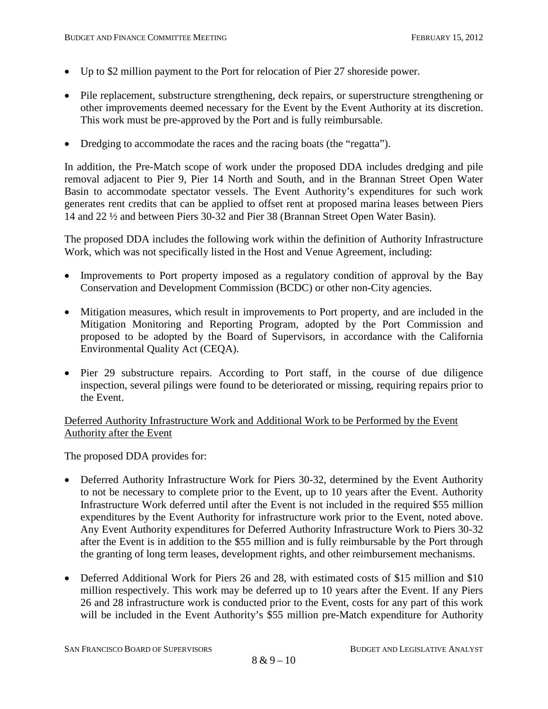- Up to \$2 million payment to the Port for relocation of Pier 27 shoreside power.
- Pile replacement, substructure strengthening, deck repairs, or superstructure strengthening or other improvements deemed necessary for the Event by the Event Authority at its discretion. This work must be pre-approved by the Port and is fully reimbursable.
- Dredging to accommodate the races and the racing boats (the "regatta").

In addition, the Pre-Match scope of work under the proposed DDA includes dredging and pile removal adjacent to Pier 9, Pier 14 North and South, and in the Brannan Street Open Water Basin to accommodate spectator vessels. The Event Authority's expenditures for such work generates rent credits that can be applied to offset rent at proposed marina leases between Piers 14 and 22 ½ and between Piers 30-32 and Pier 38 (Brannan Street Open Water Basin).

The proposed DDA includes the following work within the definition of Authority Infrastructure Work, which was not specifically listed in the Host and Venue Agreement, including:

- Improvements to Port property imposed as a regulatory condition of approval by the Bay Conservation and Development Commission (BCDC) or other non-City agencies.
- Mitigation measures, which result in improvements to Port property, and are included in the Mitigation Monitoring and Reporting Program, adopted by the Port Commission and proposed to be adopted by the Board of Supervisors, in accordance with the California Environmental Quality Act (CEQA).
- Pier 29 substructure repairs. According to Port staff, in the course of due diligence inspection, several pilings were found to be deteriorated or missing, requiring repairs prior to the Event.

#### Deferred Authority Infrastructure Work and Additional Work to be Performed by the Event Authority after the Event

The proposed DDA provides for:

- Deferred Authority Infrastructure Work for Piers 30-32, determined by the Event Authority to not be necessary to complete prior to the Event, up to 10 years after the Event. Authority Infrastructure Work deferred until after the Event is not included in the required \$55 million expenditures by the Event Authority for infrastructure work prior to the Event, noted above. Any Event Authority expenditures for Deferred Authority Infrastructure Work to Piers 30-32 after the Event is in addition to the \$55 million and is fully reimbursable by the Port through the granting of long term leases, development rights, and other reimbursement mechanisms.
- Deferred Additional Work for Piers 26 and 28, with estimated costs of \$15 million and \$10 million respectively. This work may be deferred up to 10 years after the Event. If any Piers 26 and 28 infrastructure work is conducted prior to the Event, costs for any part of this work will be included in the Event Authority's \$55 million pre-Match expenditure for Authority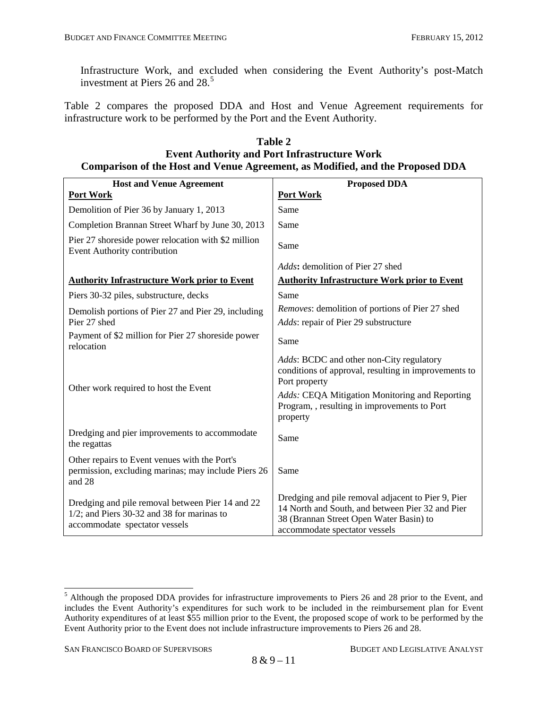Infrastructure Work, and excluded when considering the Event Authority's post-Match investment at Piers 26 and 28. [5](#page-26-1)

Table 2 compares the proposed DDA and Host and Venue Agreement requirements for infrastructure work to be performed by the Port and the Event Authority.

| <b>Host and Venue Agreement</b>                                                                                                    | <b>Proposed DDA</b>                                                                                                                                                                |  |  |
|------------------------------------------------------------------------------------------------------------------------------------|------------------------------------------------------------------------------------------------------------------------------------------------------------------------------------|--|--|
| Port Work                                                                                                                          | Port Work                                                                                                                                                                          |  |  |
| Demolition of Pier 36 by January 1, 2013                                                                                           | Same                                                                                                                                                                               |  |  |
| Completion Brannan Street Wharf by June 30, 2013                                                                                   | Same                                                                                                                                                                               |  |  |
| Pier 27 shoreside power relocation with \$2 million<br>Event Authority contribution                                                | Same                                                                                                                                                                               |  |  |
|                                                                                                                                    | <i>Adds</i> : demolition of Pier 27 shed                                                                                                                                           |  |  |
| <b>Authority Infrastructure Work prior to Event</b>                                                                                | <b>Authority Infrastructure Work prior to Event</b>                                                                                                                                |  |  |
| Piers 30-32 piles, substructure, decks                                                                                             | Same                                                                                                                                                                               |  |  |
| Demolish portions of Pier 27 and Pier 29, including                                                                                | Removes: demolition of portions of Pier 27 shed                                                                                                                                    |  |  |
| Pier 27 shed                                                                                                                       | Adds: repair of Pier 29 substructure                                                                                                                                               |  |  |
| Payment of \$2 million for Pier 27 shoreside power<br>relocation                                                                   | Same                                                                                                                                                                               |  |  |
| Other work required to host the Event                                                                                              | Adds: BCDC and other non-City regulatory<br>conditions of approval, resulting in improvements to<br>Port property                                                                  |  |  |
|                                                                                                                                    | Adds: CEQA Mitigation Monitoring and Reporting<br>Program, , resulting in improvements to Port<br>property                                                                         |  |  |
| Dredging and pier improvements to accommodate<br>the regattas                                                                      | Same                                                                                                                                                                               |  |  |
| Other repairs to Event venues with the Port's<br>permission, excluding marinas; may include Piers 26<br>and 28                     | Same                                                                                                                                                                               |  |  |
| Dredging and pile removal between Pier 14 and 22<br>$1/2$ ; and Piers 30-32 and 38 for marinas to<br>accommodate spectator vessels | Dredging and pile removal adjacent to Pier 9, Pier<br>14 North and South, and between Pier 32 and Pier<br>38 (Brannan Street Open Water Basin) to<br>accommodate spectator vessels |  |  |

#### **Table 2 Event Authority and Port Infrastructure Work Comparison of the Host and Venue Agreement, as Modified, and the Proposed DDA**

<span id="page-29-0"></span><sup>&</sup>lt;sup>5</sup> Although the proposed DDA provides for infrastructure improvements to Piers 26 and 28 prior to the Event, and includes the Event Authority's expenditures for such work to be included in the reimbursement plan for Event Authority expenditures of at least \$55 million prior to the Event, the proposed scope of work to be performed by the Event Authority prior to the Event does not include infrastructure improvements to Piers 26 and 28.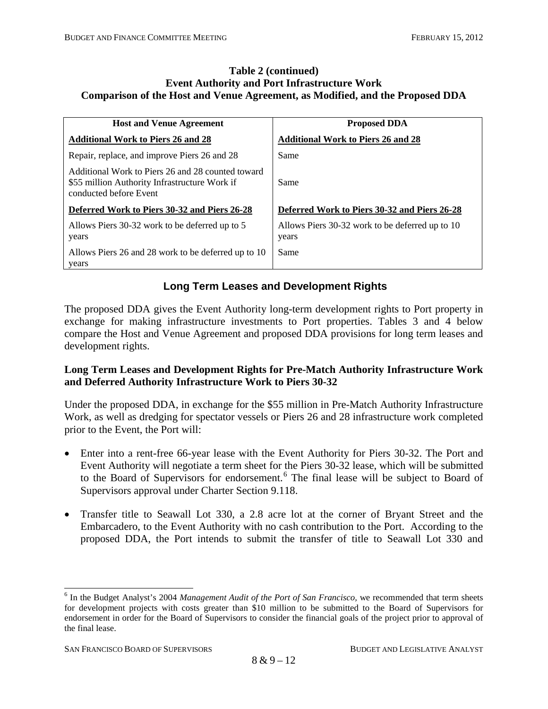#### **Table 2 (continued) Event Authority and Port Infrastructure Work Comparison of the Host and Venue Agreement, as Modified, and the Proposed DDA**

| <b>Host and Venue Agreement</b>                                                                                              | <b>Proposed DDA</b>                                      |
|------------------------------------------------------------------------------------------------------------------------------|----------------------------------------------------------|
| <b>Additional Work to Piers 26 and 28</b>                                                                                    | <b>Additional Work to Piers 26 and 28</b>                |
| Repair, replace, and improve Piers 26 and 28                                                                                 | Same                                                     |
| Additional Work to Piers 26 and 28 counted toward<br>\$55 million Authority Infrastructure Work if<br>conducted before Event | Same                                                     |
| Deferred Work to Piers 30-32 and Piers 26-28                                                                                 | Deferred Work to Piers 30-32 and Piers 26-28             |
| Allows Piers 30-32 work to be deferred up to 5<br>years                                                                      | Allows Piers 30-32 work to be deferred up to 10<br>years |
| Allows Piers 26 and 28 work to be deferred up to 10<br>years                                                                 | Same                                                     |

## **Long Term Leases and Development Rights**

The proposed DDA gives the Event Authority long-term development rights to Port property in exchange for making infrastructure investments to Port properties. Tables 3 and 4 below compare the Host and Venue Agreement and proposed DDA provisions for long term leases and development rights.

#### **Long Term Leases and Development Rights for Pre-Match Authority Infrastructure Work and Deferred Authority Infrastructure Work to Piers 30-32**

Under the proposed DDA, in exchange for the \$55 million in Pre-Match Authority Infrastructure Work, as well as dredging for spectator vessels or Piers 26 and 28 infrastructure work completed prior to the Event, the Port will:

- Enter into a rent-free 66-year lease with the Event Authority for Piers 30-32. The Port and Event Authority will negotiate a term sheet for the Piers 30-32 lease, which will be submitted to the Board of Supervisors for endorsement.<sup>[6](#page-29-0)</sup> The final lease will be subject to Board of Supervisors approval under Charter Section 9.118.
- Transfer title to Seawall Lot 330, a 2.8 acre lot at the corner of Bryant Street and the Embarcadero, to the Event Authority with no cash contribution to the Port. According to the proposed DDA, the Port intends to submit the transfer of title to Seawall Lot 330 and

<span id="page-30-0"></span> <sup>6</sup> In the Budget Analyst's 2004 *Management Audit of the Port of San Francisco,* we recommended that term sheets for development projects with costs greater than \$10 million to be submitted to the Board of Supervisors for endorsement in order for the Board of Supervisors to consider the financial goals of the project prior to approval of the final lease.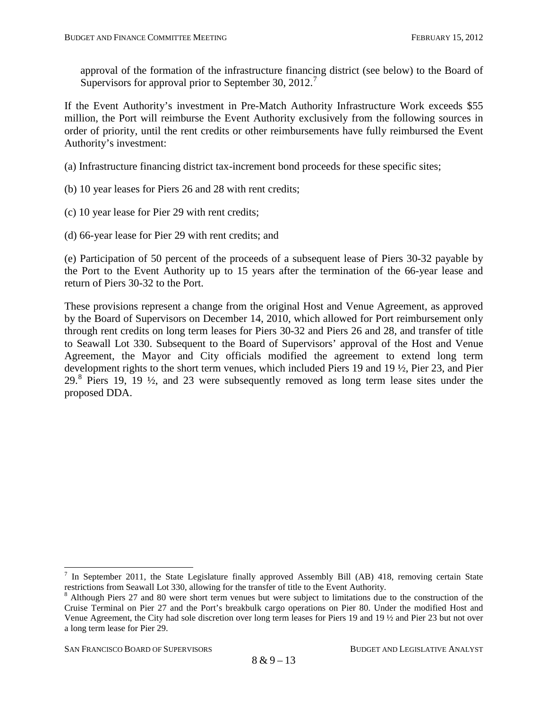approval of the formation of the infrastructure financing district (see below) to the Board of Supervisors for approval prior to September 30, 2012.<sup>[7](#page-30-0)</sup>

If the Event Authority's investment in Pre-Match Authority Infrastructure Work exceeds \$55 million, the Port will reimburse the Event Authority exclusively from the following sources in order of priority, until the rent credits or other reimbursements have fully reimbursed the Event Authority's investment:

(a) Infrastructure financing district tax-increment bond proceeds for these specific sites;

- (b) 10 year leases for Piers 26 and 28 with rent credits;
- (c) 10 year lease for Pier 29 with rent credits;

(d) 66-year lease for Pier 29 with rent credits; and

(e) Participation of 50 percent of the proceeds of a subsequent lease of Piers 30-32 payable by the Port to the Event Authority up to 15 years after the termination of the 66-year lease and return of Piers 30-32 to the Port.

These provisions represent a change from the original Host and Venue Agreement, as approved by the Board of Supervisors on December 14, 2010, which allowed for Port reimbursement only through rent credits on long term leases for Piers 30-32 and Piers 26 and 28, and transfer of title to Seawall Lot 330. Subsequent to the Board of Supervisors' approval of the Host and Venue Agreement, the Mayor and City officials modified the agreement to extend long term development rights to the short term venues, which included Piers 19 and 19 ½, Pier 23, and Pier  $29.8$  $29.8$  Piers 19, 19  $\frac{1}{2}$ , and 23 were subsequently removed as long term lease sites under the proposed DDA.

<sup>&</sup>lt;sup>7</sup> In September 2011, the State Legislature finally approved Assembly Bill (AB) 418, removing certain State restrictions from Seawall Lot 330, allowing for the transfer of title to the Event Authority.

<span id="page-31-1"></span><span id="page-31-0"></span><sup>&</sup>lt;sup>8</sup> Although Piers 27 and 80 were short term venues but were subject to limitations due to the construction of the Cruise Terminal on Pier 27 and the Port's breakbulk cargo operations on Pier 80. Under the modified Host and Venue Agreement, the City had sole discretion over long term leases for Piers 19 and 19 ½ and Pier 23 but not over a long term lease for Pier 29.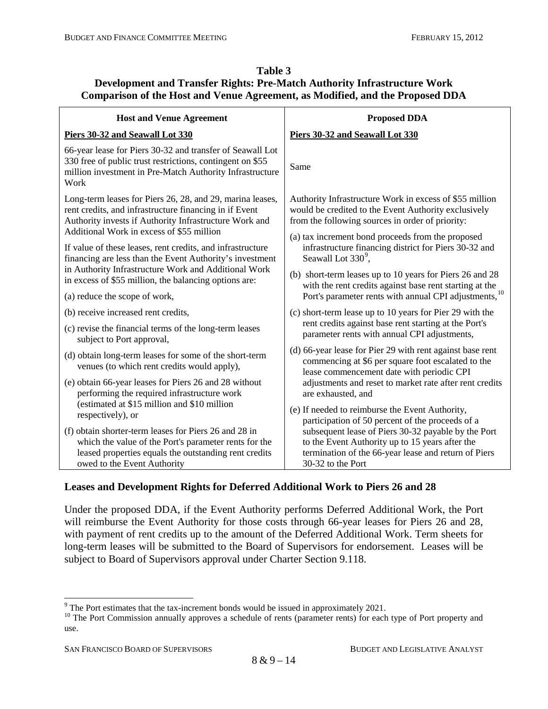## **Table 3 Development and Transfer Rights: Pre-Match Authority Infrastructure Work Comparison of the Host and Venue Agreement, as Modified, and the Proposed DDA**

| <b>Host and Venue Agreement</b>                                                                                                                                                                                            | <b>Proposed DDA</b>                                                                                                                                                 |
|----------------------------------------------------------------------------------------------------------------------------------------------------------------------------------------------------------------------------|---------------------------------------------------------------------------------------------------------------------------------------------------------------------|
| Piers 30-32 and Seawall Lot 330                                                                                                                                                                                            | Piers 30-32 and Seawall Lot 330                                                                                                                                     |
| 66-year lease for Piers 30-32 and transfer of Seawall Lot<br>330 free of public trust restrictions, contingent on \$55<br>million investment in Pre-Match Authority Infrastructure<br>Work                                 | Same                                                                                                                                                                |
| Long-term leases for Piers 26, 28, and 29, marina leases,<br>rent credits, and infrastructure financing in if Event<br>Authority invests if Authority Infrastructure Work and<br>Additional Work in excess of \$55 million | Authority Infrastructure Work in excess of \$55 million<br>would be credited to the Event Authority exclusively<br>from the following sources in order of priority: |
| If value of these leases, rent credits, and infrastructure<br>financing are less than the Event Authority's investment                                                                                                     | (a) tax increment bond proceeds from the proposed<br>infrastructure financing district for Piers 30-32 and<br>Seawall Lot 330 <sup>9</sup> ,                        |
| in Authority Infrastructure Work and Additional Work<br>in excess of \$55 million, the balancing options are:                                                                                                              | (b) short-term leases up to 10 years for Piers 26 and 28<br>with the rent credits against base rent starting at the                                                 |
| (a) reduce the scope of work,                                                                                                                                                                                              | Port's parameter rents with annual CPI adjustments, <sup>10</sup>                                                                                                   |
| (b) receive increased rent credits,                                                                                                                                                                                        | (c) short-term lease up to 10 years for Pier 29 with the                                                                                                            |
| (c) revise the financial terms of the long-term leases<br>subject to Port approval,                                                                                                                                        | rent credits against base rent starting at the Port's<br>parameter rents with annual CPI adjustments,                                                               |
| (d) obtain long-term leases for some of the short-term<br>venues (to which rent credits would apply),                                                                                                                      | (d) 66-year lease for Pier 29 with rent against base rent<br>commencing at \$6 per square foot escalated to the<br>lease commencement date with periodic CPI        |
| (e) obtain 66-year leases for Piers 26 and 28 without<br>performing the required infrastructure work                                                                                                                       | adjustments and reset to market rate after rent credits<br>are exhausted, and                                                                                       |
| (estimated at \$15 million and \$10 million<br>respectively), or                                                                                                                                                           | (e) If needed to reimburse the Event Authority,<br>participation of 50 percent of the proceeds of a                                                                 |
| (f) obtain shorter-term leases for Piers 26 and 28 in                                                                                                                                                                      | subsequent lease of Piers 30-32 payable by the Port                                                                                                                 |
| which the value of the Port's parameter rents for the<br>leased properties equals the outstanding rent credits                                                                                                             | to the Event Authority up to 15 years after the<br>termination of the 66-year lease and return of Piers                                                             |
| owed to the Event Authority                                                                                                                                                                                                | 30-32 to the Port                                                                                                                                                   |

## **Leases and Development Rights for Deferred Additional Work to Piers 26 and 28**

Under the proposed DDA, if the Event Authority performs Deferred Additional Work, the Port will reimburse the Event Authority for those costs through 66-year leases for Piers 26 and 28, with payment of rent credits up to the amount of the Deferred Additional Work. Term sheets for long-term leases will be submitted to the Board of Supervisors for endorsement. Leases will be subject to Board of Supervisors approval under Charter Section 9.118.

<span id="page-32-1"></span><span id="page-32-0"></span><sup>&</sup>lt;sup>9</sup> The Port estimates that the tax-increment bonds would be issued in approximately 2021.<br><sup>10</sup> The Port Commission annually approves a schedule of rents (parameter rents) for each type of Port property and use.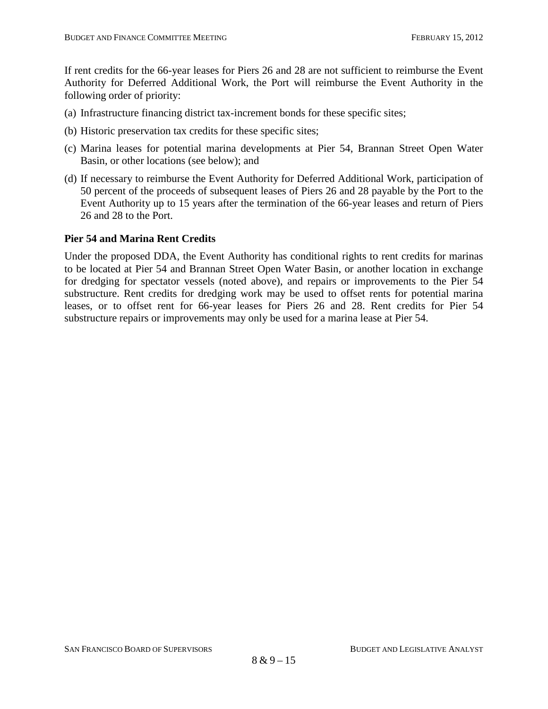If rent credits for the 66-year leases for Piers 26 and 28 are not sufficient to reimburse the Event Authority for Deferred Additional Work, the Port will reimburse the Event Authority in the following order of priority:

- (a) Infrastructure financing district tax-increment bonds for these specific sites;
- (b) Historic preservation tax credits for these specific sites;
- (c) Marina leases for potential marina developments at Pier 54, Brannan Street Open Water Basin, or other locations (see below); and
- (d) If necessary to reimburse the Event Authority for Deferred Additional Work, participation of 50 percent of the proceeds of subsequent leases of Piers 26 and 28 payable by the Port to the Event Authority up to 15 years after the termination of the 66-year leases and return of Piers 26 and 28 to the Port.

#### **Pier 54 and Marina Rent Credits**

Under the proposed DDA, the Event Authority has conditional rights to rent credits for marinas to be located at Pier 54 and Brannan Street Open Water Basin, or another location in exchange for dredging for spectator vessels (noted above), and repairs or improvements to the Pier 54 substructure. Rent credits for dredging work may be used to offset rents for potential marina leases, or to offset rent for 66-year leases for Piers 26 and 28. Rent credits for Pier 54 substructure repairs or improvements may only be used for a marina lease at Pier 54.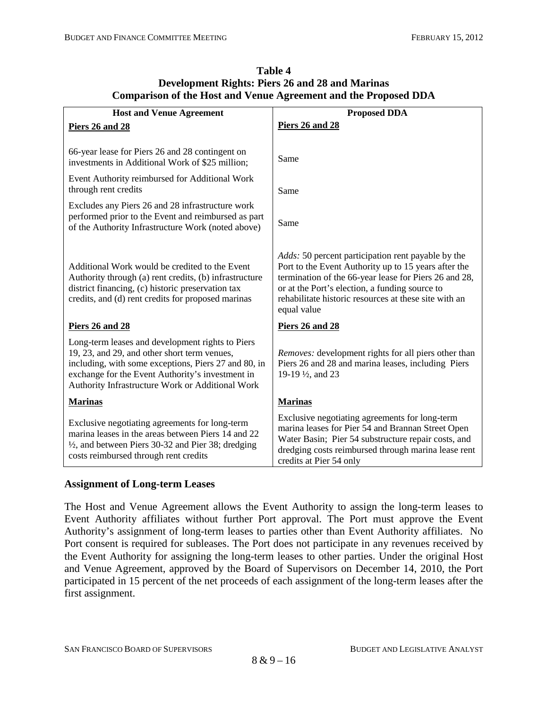| <b>Host and Venue Agreement</b>                                                                                                                                                                                                                                  | <b>Proposed DDA</b>                                                                                                                                                                                                                                                                                  |
|------------------------------------------------------------------------------------------------------------------------------------------------------------------------------------------------------------------------------------------------------------------|------------------------------------------------------------------------------------------------------------------------------------------------------------------------------------------------------------------------------------------------------------------------------------------------------|
| Piers 26 and 28                                                                                                                                                                                                                                                  | Piers 26 and 28                                                                                                                                                                                                                                                                                      |
|                                                                                                                                                                                                                                                                  |                                                                                                                                                                                                                                                                                                      |
| 66-year lease for Piers 26 and 28 contingent on<br>investments in Additional Work of \$25 million;                                                                                                                                                               | Same                                                                                                                                                                                                                                                                                                 |
| Event Authority reimbursed for Additional Work<br>through rent credits                                                                                                                                                                                           | Same                                                                                                                                                                                                                                                                                                 |
| Excludes any Piers 26 and 28 infrastructure work                                                                                                                                                                                                                 |                                                                                                                                                                                                                                                                                                      |
| performed prior to the Event and reimbursed as part<br>of the Authority Infrastructure Work (noted above)                                                                                                                                                        | Same                                                                                                                                                                                                                                                                                                 |
| Additional Work would be credited to the Event<br>Authority through (a) rent credits, (b) infrastructure<br>district financing, (c) historic preservation tax<br>credits, and (d) rent credits for proposed marinas                                              | <i>Adds:</i> 50 percent participation rent payable by the<br>Port to the Event Authority up to 15 years after the<br>termination of the 66-year lease for Piers 26 and 28,<br>or at the Port's election, a funding source to<br>rehabilitate historic resources at these site with an<br>equal value |
| Piers 26 and 28                                                                                                                                                                                                                                                  | Piers 26 and 28                                                                                                                                                                                                                                                                                      |
| Long-term leases and development rights to Piers<br>19, 23, and 29, and other short term venues,<br>including, with some exceptions, Piers 27 and 80, in<br>exchange for the Event Authority's investment in<br>Authority Infrastructure Work or Additional Work | Removes: development rights for all piers other than<br>Piers 26 and 28 and marina leases, including Piers<br>19-19 1/2, and 23                                                                                                                                                                      |
| <b>Marinas</b>                                                                                                                                                                                                                                                   | <b>Marinas</b>                                                                                                                                                                                                                                                                                       |
| Exclusive negotiating agreements for long-term<br>marina leases in the areas between Piers 14 and 22<br>$\frac{1}{2}$ , and between Piers 30-32 and Pier 38; dredging<br>costs reimbursed through rent credits                                                   | Exclusive negotiating agreements for long-term<br>marina leases for Pier 54 and Brannan Street Open<br>Water Basin; Pier 54 substructure repair costs, and<br>dredging costs reimbursed through marina lease rent<br>credits at Pier 54 only                                                         |

#### **Table 4 Development Rights: Piers 26 and 28 and Marinas Comparison of the Host and Venue Agreement and the Proposed DDA**

#### **Assignment of Long-term Leases**

The Host and Venue Agreement allows the Event Authority to assign the long-term leases to Event Authority affiliates without further Port approval. The Port must approve the Event Authority's assignment of long-term leases to parties other than Event Authority affiliates. No Port consent is required for subleases. The Port does not participate in any revenues received by the Event Authority for assigning the long-term leases to other parties. Under the original Host and Venue Agreement, approved by the Board of Supervisors on December 14, 2010, the Port participated in 15 percent of the net proceeds of each assignment of the long-term leases after the first assignment.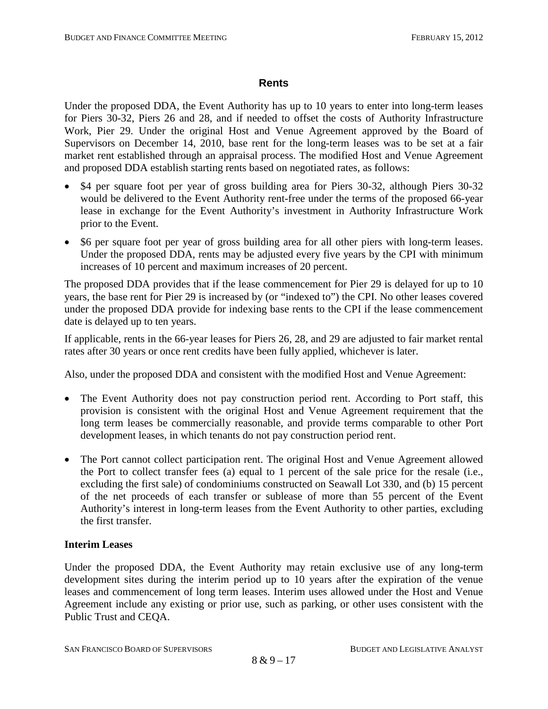#### **Rents**

Under the proposed DDA, the Event Authority has up to 10 years to enter into long-term leases for Piers 30-32, Piers 26 and 28, and if needed to offset the costs of Authority Infrastructure Work, Pier 29. Under the original Host and Venue Agreement approved by the Board of Supervisors on December 14, 2010, base rent for the long-term leases was to be set at a fair market rent established through an appraisal process. The modified Host and Venue Agreement and proposed DDA establish starting rents based on negotiated rates, as follows:

- \$4 per square foot per year of gross building area for Piers 30-32, although Piers 30-32 would be delivered to the Event Authority rent-free under the terms of the proposed 66-year lease in exchange for the Event Authority's investment in Authority Infrastructure Work prior to the Event.
- \$6 per square foot per year of gross building area for all other piers with long-term leases. Under the proposed DDA, rents may be adjusted every five years by the CPI with minimum increases of 10 percent and maximum increases of 20 percent.

The proposed DDA provides that if the lease commencement for Pier 29 is delayed for up to 10 years, the base rent for Pier 29 is increased by (or "indexed to") the CPI. No other leases covered under the proposed DDA provide for indexing base rents to the CPI if the lease commencement date is delayed up to ten years.

If applicable, rents in the 66-year leases for Piers 26, 28, and 29 are adjusted to fair market rental rates after 30 years or once rent credits have been fully applied, whichever is later.

Also, under the proposed DDA and consistent with the modified Host and Venue Agreement:

- The Event Authority does not pay construction period rent. According to Port staff, this provision is consistent with the original Host and Venue Agreement requirement that the long term leases be commercially reasonable, and provide terms comparable to other Port development leases, in which tenants do not pay construction period rent.
- The Port cannot collect participation rent. The original Host and Venue Agreement allowed the Port to collect transfer fees (a) equal to 1 percent of the sale price for the resale (i.e., excluding the first sale) of condominiums constructed on Seawall Lot 330, and (b) 15 percent of the net proceeds of each transfer or sublease of more than 55 percent of the Event Authority's interest in long-term leases from the Event Authority to other parties, excluding the first transfer.

## **Interim Leases**

Under the proposed DDA, the Event Authority may retain exclusive use of any long-term development sites during the interim period up to 10 years after the expiration of the venue leases and commencement of long term leases. Interim uses allowed under the Host and Venue Agreement include any existing or prior use, such as parking, or other uses consistent with the Public Trust and CEQA.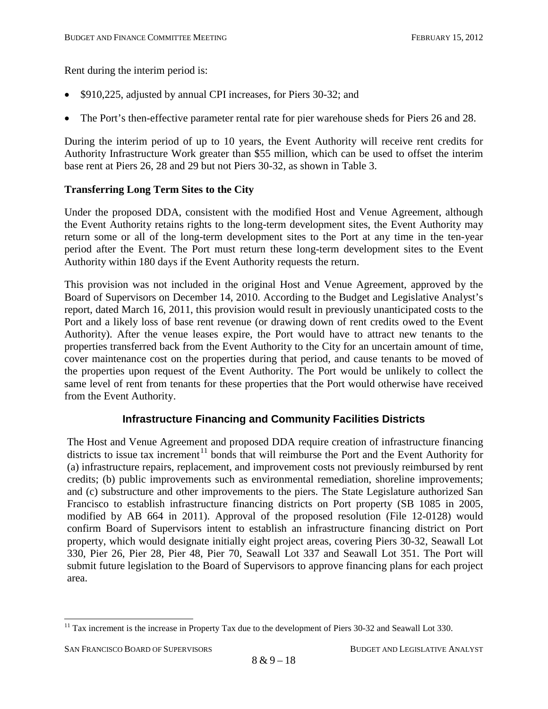Rent during the interim period is:

- \$910,225, adjusted by annual CPI increases, for Piers 30-32; and
- The Port's then-effective parameter rental rate for pier warehouse sheds for Piers 26 and 28.

During the interim period of up to 10 years, the Event Authority will receive rent credits for Authority Infrastructure Work greater than \$55 million, which can be used to offset the interim base rent at Piers 26, 28 and 29 but not Piers 30-32, as shown in Table 3.

#### **Transferring Long Term Sites to the City**

Under the proposed DDA, consistent with the modified Host and Venue Agreement, although the Event Authority retains rights to the long-term development sites, the Event Authority may return some or all of the long-term development sites to the Port at any time in the ten-year period after the Event. The Port must return these long-term development sites to the Event Authority within 180 days if the Event Authority requests the return.

This provision was not included in the original Host and Venue Agreement, approved by the Board of Supervisors on December 14, 2010. According to the Budget and Legislative Analyst's report, dated March 16, 2011, this provision would result in previously unanticipated costs to the Port and a likely loss of base rent revenue (or drawing down of rent credits owed to the Event Authority). After the venue leases expire, the Port would have to attract new tenants to the properties transferred back from the Event Authority to the City for an uncertain amount of time, cover maintenance cost on the properties during that period, and cause tenants to be moved of the properties upon request of the Event Authority. The Port would be unlikely to collect the same level of rent from tenants for these properties that the Port would otherwise have received from the Event Authority.

## **Infrastructure Financing and Community Facilities Districts**

The Host and Venue Agreement and proposed DDA require creation of infrastructure financing districts to issue tax increment<sup>[11](#page-32-1)</sup> bonds that will reimburse the Port and the Event Authority for (a) infrastructure repairs, replacement, and improvement costs not previously reimbursed by rent credits; (b) public improvements such as environmental remediation, shoreline improvements; and (c) substructure and other improvements to the piers. The State Legislature authorized San Francisco to establish infrastructure financing districts on Port property (SB 1085 in 2005, modified by AB 664 in 2011). Approval of the proposed resolution (File 12-0128) would confirm Board of Supervisors intent to establish an infrastructure financing district on Port property, which would designate initially eight project areas, covering Piers 30-32, Seawall Lot 330, Pier 26, Pier 28, Pier 48, Pier 70, Seawall Lot 337 and Seawall Lot 351. The Port will submit future legislation to the Board of Supervisors to approve financing plans for each project area.

<span id="page-36-0"></span> $11$  Tax increment is the increase in Property Tax due to the development of Piers 30-32 and Seawall Lot 330.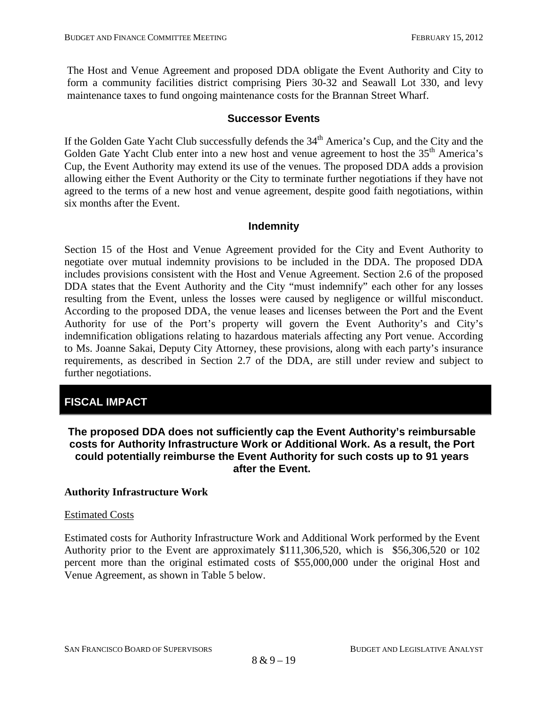The Host and Venue Agreement and proposed DDA obligate the Event Authority and City to form a community facilities district comprising Piers 30-32 and Seawall Lot 330, and levy maintenance taxes to fund ongoing maintenance costs for the Brannan Street Wharf.

#### **Successor Events**

If the Golden Gate Yacht Club successfully defends the 34<sup>th</sup> America's Cup, and the City and the Golden Gate Yacht Club enter into a new host and venue agreement to host the 35<sup>th</sup> America's Cup, the Event Authority may extend its use of the venues. The proposed DDA adds a provision allowing either the Event Authority or the City to terminate further negotiations if they have not agreed to the terms of a new host and venue agreement, despite good faith negotiations, within six months after the Event.

## **Indemnity**

Section 15 of the Host and Venue Agreement provided for the City and Event Authority to negotiate over mutual indemnity provisions to be included in the DDA. The proposed DDA includes provisions consistent with the Host and Venue Agreement. Section 2.6 of the proposed DDA states that the Event Authority and the City "must indemnify" each other for any losses resulting from the Event, unless the losses were caused by negligence or willful misconduct. According to the proposed DDA, the venue leases and licenses between the Port and the Event Authority for use of the Port's property will govern the Event Authority's and City's indemnification obligations relating to hazardous materials affecting any Port venue. According to Ms. Joanne Sakai, Deputy City Attorney, these provisions, along with each party's insurance requirements, as described in Section 2.7 of the DDA, are still under review and subject to further negotiations.

## **FISCAL IMPACT**

## **The proposed DDA does not sufficiently cap the Event Authority's reimbursable costs for Authority Infrastructure Work or Additional Work. As a result, the Port could potentially reimburse the Event Authority for such costs up to 91 years after the Event.**

#### **Authority Infrastructure Work**

#### Estimated Costs

Estimated costs for Authority Infrastructure Work and Additional Work performed by the Event Authority prior to the Event are approximately \$111,306,520, which is \$56,306,520 or 102 percent more than the original estimated costs of \$55,000,000 under the original Host and Venue Agreement, as shown in Table 5 below.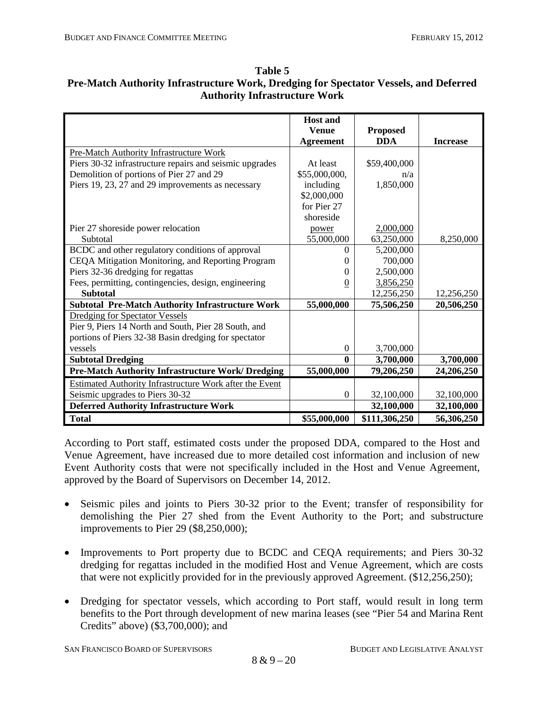|                                                         | <b>Host and</b>  |                 |                 |
|---------------------------------------------------------|------------------|-----------------|-----------------|
|                                                         | <b>Venue</b>     | <b>Proposed</b> |                 |
|                                                         | <b>Agreement</b> | <b>DDA</b>      | <b>Increase</b> |
| Pre-Match Authority Infrastructure Work                 |                  |                 |                 |
| Piers 30-32 infrastructure repairs and seismic upgrades | At least         | \$59,400,000    |                 |
| Demolition of portions of Pier 27 and 29                | \$55,000,000,    | n/a             |                 |
| Piers 19, 23, 27 and 29 improvements as necessary       | including        | 1,850,000       |                 |
|                                                         | \$2,000,000      |                 |                 |
|                                                         | for Pier 27      |                 |                 |
|                                                         | shoreside        |                 |                 |
| Pier 27 shoreside power relocation                      | power            | 2,000,000       |                 |
| Subtotal                                                | 55,000,000       | 63,250,000      | 8,250,000       |
| BCDC and other regulatory conditions of approval        | 0                | 5,200,000       |                 |
| CEQA Mitigation Monitoring, and Reporting Program       | 0                | 700,000         |                 |
| Piers 32-36 dredging for regattas                       | $\theta$         | 2,500,000       |                 |
| Fees, permitting, contingencies, design, engineering    | $\overline{0}$   | 3,856,250       |                 |
| <b>Subtotal</b>                                         |                  | 12,256,250      | 12,256,250      |
| <b>Subtotal Pre-Match Authority Infrastructure Work</b> | 55,000,000       | 75,506,250      | 20,506,250      |
| <b>Dredging for Spectator Vessels</b>                   |                  |                 |                 |
| Pier 9, Piers 14 North and South, Pier 28 South, and    |                  |                 |                 |
| portions of Piers 32-38 Basin dredging for spectator    |                  |                 |                 |
| vessels                                                 | $\theta$         | 3,700,000       |                 |
| <b>Subtotal Dredging</b>                                | $\mathbf{0}$     | 3,700,000       | 3,700,000       |
| Pre-Match Authority Infrastructure Work/ Dredging       | 55,000,000       | 79,206,250      | 24,206,250      |
| Estimated Authority Infrastructure Work after the Event |                  |                 |                 |
| Seismic upgrades to Piers 30-32                         | $\boldsymbol{0}$ | 32,100,000      | 32,100,000      |
| <b>Deferred Authority Infrastructure Work</b>           |                  | 32,100,000      | 32,100,000      |
| <b>Total</b>                                            | \$55,000,000     | \$111,306,250   | 56,306,250      |

#### **Table 5 Pre-Match Authority Infrastructure Work, Dredging for Spectator Vessels, and Deferred Authority Infrastructure Work**

According to Port staff, estimated costs under the proposed DDA, compared to the Host and Venue Agreement, have increased due to more detailed cost information and inclusion of new Event Authority costs that were not specifically included in the Host and Venue Agreement, approved by the Board of Supervisors on December 14, 2012.

- Seismic piles and joints to Piers 30-32 prior to the Event; transfer of responsibility for demolishing the Pier 27 shed from the Event Authority to the Port; and substructure improvements to Pier 29 (\$8,250,000);
- Improvements to Port property due to BCDC and CEQA requirements; and Piers 30-32 dredging for regattas included in the modified Host and Venue Agreement, which are costs that were not explicitly provided for in the previously approved Agreement. (\$12,256,250);
- Dredging for spectator vessels, which according to Port staff, would result in long term benefits to the Port through development of new marina leases (see "Pier 54 and Marina Rent Credits" above) (\$3,700,000); and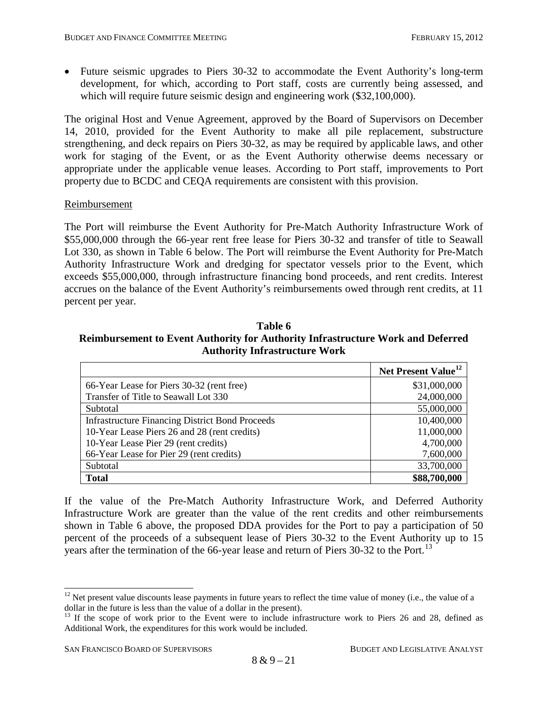• Future seismic upgrades to Piers 30-32 to accommodate the Event Authority's long-term development, for which, according to Port staff, costs are currently being assessed, and which will require future seismic design and engineering work (\$32,100,000).

The original Host and Venue Agreement, approved by the Board of Supervisors on December 14, 2010, provided for the Event Authority to make all pile replacement, substructure strengthening, and deck repairs on Piers 30-32, as may be required by applicable laws, and other work for staging of the Event, or as the Event Authority otherwise deems necessary or appropriate under the applicable venue leases. According to Port staff, improvements to Port property due to BCDC and CEQA requirements are consistent with this provision.

#### Reimbursement

The Port will reimburse the Event Authority for Pre-Match Authority Infrastructure Work of \$55,000,000 through the 66-year rent free lease for Piers 30-32 and transfer of title to Seawall Lot 330, as shown in Table 6 below. The Port will reimburse the Event Authority for Pre-Match Authority Infrastructure Work and dredging for spectator vessels prior to the Event, which exceeds \$55,000,000, through infrastructure financing bond proceeds, and rent credits. Interest accrues on the balance of the Event Authority's reimbursements owed through rent credits, at 11 percent per year.

| Table 6                                                                                |
|----------------------------------------------------------------------------------------|
| <b>Reimbursement to Event Authority for Authority Infrastructure Work and Deferred</b> |
| <b>Authority Infrastructure Work</b>                                                   |

|                                                        | Net Present Value <sup>12</sup> |
|--------------------------------------------------------|---------------------------------|
| 66-Year Lease for Piers 30-32 (rent free)              | \$31,000,000                    |
| Transfer of Title to Seawall Lot 330                   | 24,000,000                      |
| Subtotal                                               | 55,000,000                      |
| <b>Infrastructure Financing District Bond Proceeds</b> | 10,400,000                      |
| 10-Year Lease Piers 26 and 28 (rent credits)           | 11,000,000                      |
| 10-Year Lease Pier 29 (rent credits)                   | 4,700,000                       |
| 66-Year Lease for Pier 29 (rent credits)               | 7,600,000                       |
| Subtotal                                               | 33,700,000                      |
| <b>Total</b>                                           | \$88,700,000                    |

If the value of the Pre-Match Authority Infrastructure Work, and Deferred Authority Infrastructure Work are greater than the value of the rent credits and other reimbursements shown in Table 6 above, the proposed DDA provides for the Port to pay a participation of 50 percent of the proceeds of a subsequent lease of Piers 30-32 to the Event Authority up to 15 years after the termination of the 66-year lease and return of Piers 30-32 to the Port.<sup>[13](#page-39-0)</sup>

 $12$  Net present value discounts lease payments in future years to reflect the time value of money (i.e., the value of a dollar in the future is less than the value of a dollar in the present).

<span id="page-39-0"></span><sup>&</sup>lt;sup>13</sup> If the scope of work prior to the Event were to include infrastructure work to Piers 26 and 28, defined as Additional Work, the expenditures for this work would be included.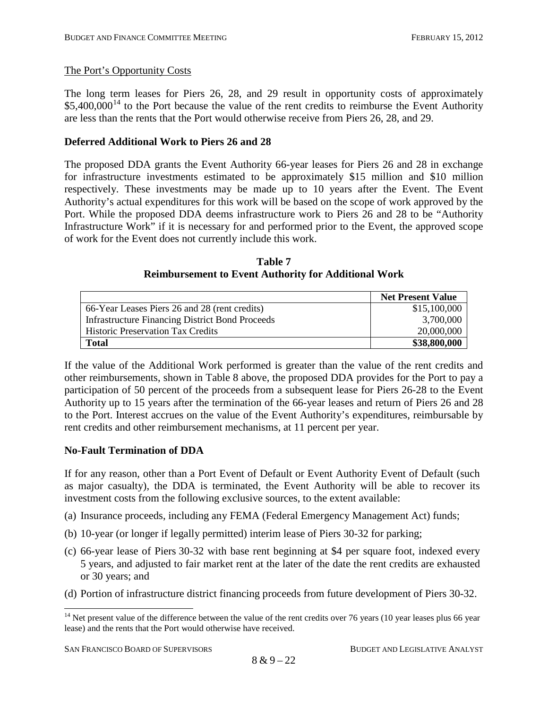## The Port's Opportunity Costs

The long term leases for Piers 26, 28, and 29 result in opportunity costs of approximately  $$5,400,000<sup>14</sup>$  $$5,400,000<sup>14</sup>$  $$5,400,000<sup>14</sup>$  to the Port because the value of the rent credits to reimburse the Event Authority are less than the rents that the Port would otherwise receive from Piers 26, 28, and 29.

## **Deferred Additional Work to Piers 26 and 28**

The proposed DDA grants the Event Authority 66-year leases for Piers 26 and 28 in exchange for infrastructure investments estimated to be approximately \$15 million and \$10 million respectively. These investments may be made up to 10 years after the Event. The Event Authority's actual expenditures for this work will be based on the scope of work approved by the Port. While the proposed DDA deems infrastructure work to Piers 26 and 28 to be "Authority Infrastructure Work" if it is necessary for and performed prior to the Event, the approved scope of work for the Event does not currently include this work.

| Table 7                                                     |  |
|-------------------------------------------------------------|--|
| <b>Reimbursement to Event Authority for Additional Work</b> |  |

|                                                        | <b>Net Present Value</b> |
|--------------------------------------------------------|--------------------------|
| 66-Year Leases Piers 26 and 28 (rent credits)          | \$15,100,000             |
| <b>Infrastructure Financing District Bond Proceeds</b> | 3,700,000                |
| <b>Historic Preservation Tax Credits</b>               | 20,000,000               |
| <b>Total</b>                                           | \$38,800,000             |

If the value of the Additional Work performed is greater than the value of the rent credits and other reimbursements, shown in Table 8 above, the proposed DDA provides for the Port to pay a participation of 50 percent of the proceeds from a subsequent lease for Piers 26-28 to the Event Authority up to 15 years after the termination of the 66-year leases and return of Piers 26 and 28 to the Port. Interest accrues on the value of the Event Authority's expenditures, reimbursable by rent credits and other reimbursement mechanisms, at 11 percent per year.

## **No-Fault Termination of DDA**

If for any reason, other than a Port Event of Default or Event Authority Event of Default (such as major casualty), the DDA is terminated, the Event Authority will be able to recover its investment costs from the following exclusive sources, to the extent available:

- (a) Insurance proceeds, including any FEMA (Federal Emergency Management Act) funds;
- (b) 10-year (or longer if legally permitted) interim lease of Piers 30-32 for parking;
- (c) 66-year lease of Piers 30-32 with base rent beginning at \$4 per square foot, indexed every 5 years, and adjusted to fair market rent at the later of the date the rent credits are exhausted or 30 years; and
- <span id="page-40-0"></span>(d) Portion of infrastructure district financing proceeds from future development of Piers 30-32.

 $14$  Net present value of the difference between the value of the rent credits over 76 years (10 year leases plus 66 year lease) and the rents that the Port would otherwise have received.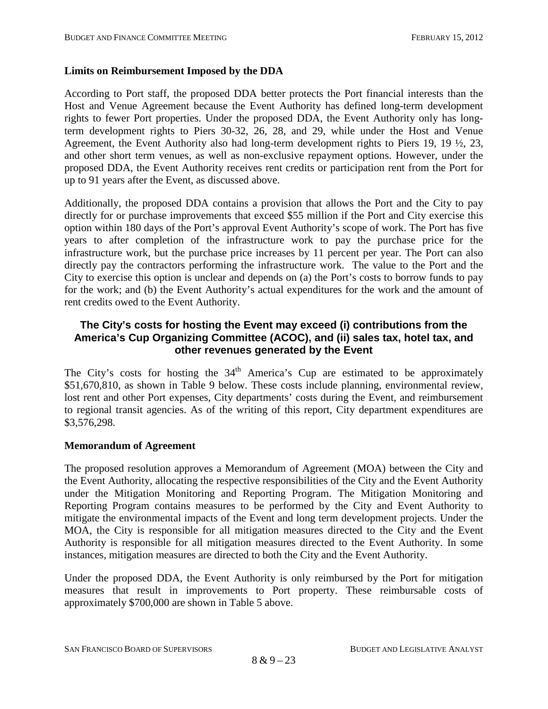## **Limits on Reimbursement Imposed by the DDA**

According to Port staff, the proposed DDA better protects the Port financial interests than the Host and Venue Agreement because the Event Authority has defined long-term development rights to fewer Port properties. Under the proposed DDA, the Event Authority only has longterm development rights to Piers 30-32, 26, 28, and 29, while under the Host and Venue Agreement, the Event Authority also had long-term development rights to Piers 19, 19 ½, 23, and other short term venues, as well as non-exclusive repayment options. However, under the proposed DDA, the Event Authority receives rent credits or participation rent from the Port for up to 91 years after the Event, as discussed above.

Additionally, the proposed DDA contains a provision that allows the Port and the City to pay directly for or purchase improvements that exceed \$55 million if the Port and City exercise this option within 180 days of the Port's approval Event Authority's scope of work. The Port has five years to after completion of the infrastructure work to pay the purchase price for the infrastructure work, but the purchase price increases by 11 percent per year. The Port can also directly pay the contractors performing the infrastructure work. The value to the Port and the City to exercise this option is unclear and depends on (a) the Port's costs to borrow funds to pay for the work; and (b) the Event Authority's actual expenditures for the work and the amount of rent credits owed to the Event Authority.

## **The City's costs for hosting the Event may exceed (i) contributions from the America's Cup Organizing Committee (ACOC), and (ii) sales tax, hotel tax, and other revenues generated by the Event**

The City's costs for hosting the  $34<sup>th</sup>$  America's Cup are estimated to be approximately \$51,670,810, as shown in Table 9 below. These costs include planning, environmental review, lost rent and other Port expenses, City departments' costs during the Event, and reimbursement to regional transit agencies. As of the writing of this report, City department expenditures are \$3,576,298.

#### **Memorandum of Agreement**

The proposed resolution approves a Memorandum of Agreement (MOA) between the City and the Event Authority, allocating the respective responsibilities of the City and the Event Authority under the Mitigation Monitoring and Reporting Program. The Mitigation Monitoring and Reporting Program contains measures to be performed by the City and Event Authority to mitigate the environmental impacts of the Event and long term development projects. Under the MOA, the City is responsible for all mitigation measures directed to the City and the Event Authority is responsible for all mitigation measures directed to the Event Authority. In some instances, mitigation measures are directed to both the City and the Event Authority.

Under the proposed DDA, the Event Authority is only reimbursed by the Port for mitigation measures that result in improvements to Port property. These reimbursable costs of approximately \$700,000 are shown in Table 5 above.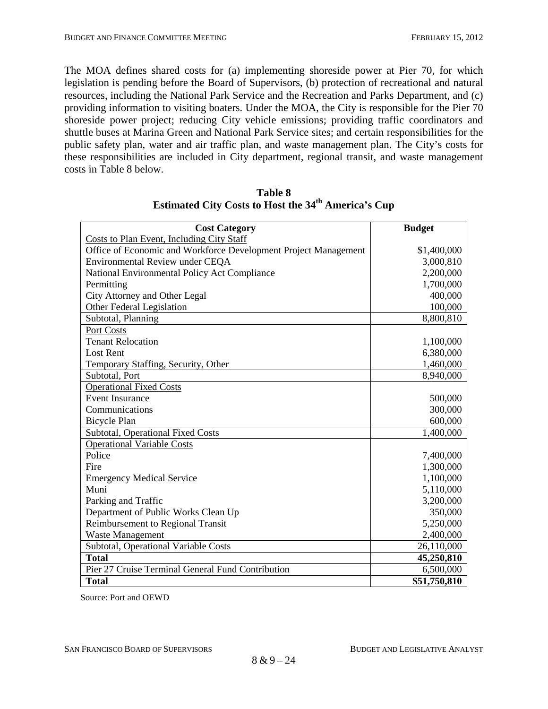The MOA defines shared costs for (a) implementing shoreside power at Pier 70, for which legislation is pending before the Board of Supervisors, (b) protection of recreational and natural resources, including the National Park Service and the Recreation and Parks Department, and (c) providing information to visiting boaters. Under the MOA, the City is responsible for the Pier 70 shoreside power project; reducing City vehicle emissions; providing traffic coordinators and shuttle buses at Marina Green and National Park Service sites; and certain responsibilities for the public safety plan, water and air traffic plan, and waste management plan. The City's costs for these responsibilities are included in City department, regional transit, and waste management costs in Table 8 below.

| <b>Cost Category</b>                                            | <b>Budget</b> |
|-----------------------------------------------------------------|---------------|
| <b>Costs to Plan Event, Including City Staff</b>                |               |
| Office of Economic and Workforce Development Project Management | \$1,400,000   |
| Environmental Review under CEQA                                 | 3,000,810     |
| National Environmental Policy Act Compliance                    | 2,200,000     |
| Permitting                                                      | 1,700,000     |
| City Attorney and Other Legal                                   | 400,000       |
| Other Federal Legislation                                       | 100,000       |
| Subtotal, Planning                                              | 8,800,810     |
| Port Costs                                                      |               |
| <b>Tenant Relocation</b>                                        | 1,100,000     |
| <b>Lost Rent</b>                                                | 6,380,000     |
| Temporary Staffing, Security, Other                             | 1,460,000     |
| Subtotal, Port                                                  | 8,940,000     |
| <b>Operational Fixed Costs</b>                                  |               |
| <b>Event Insurance</b>                                          | 500,000       |
| Communications                                                  | 300,000       |
| <b>Bicycle Plan</b>                                             | 600,000       |
| Subtotal, Operational Fixed Costs                               | 1,400,000     |
| <b>Operational Variable Costs</b>                               |               |
| Police                                                          | 7,400,000     |
| Fire                                                            | 1,300,000     |
| <b>Emergency Medical Service</b>                                | 1,100,000     |
| Muni                                                            | 5,110,000     |
| Parking and Traffic                                             | 3,200,000     |
| Department of Public Works Clean Up                             | 350,000       |
| Reimbursement to Regional Transit                               | 5,250,000     |
| <b>Waste Management</b>                                         | 2,400,000     |
| Subtotal, Operational Variable Costs                            | 26,110,000    |
| <b>Total</b>                                                    | 45,250,810    |
| Pier 27 Cruise Terminal General Fund Contribution               | 6,500,000     |
| <b>Total</b>                                                    | \$51,750,810  |

**Table 8 Estimated City Costs to Host the 34th America's Cup**

Source: Port and OEWD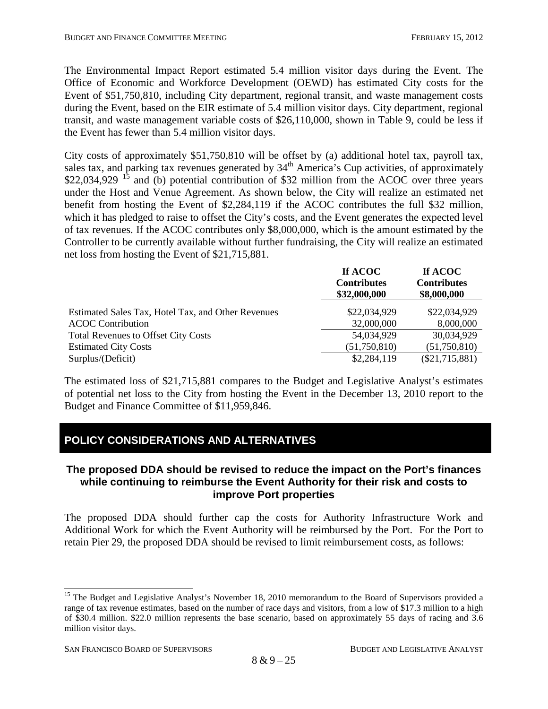The Environmental Impact Report estimated 5.4 million visitor days during the Event. The Office of Economic and Workforce Development (OEWD) has estimated City costs for the Event of \$51,750,810, including City department, regional transit, and waste management costs during the Event, based on the EIR estimate of 5.4 million visitor days. City department, regional transit, and waste management variable costs of \$26,110,000, shown in Table 9, could be less if the Event has fewer than 5.4 million visitor days.

City costs of approximately \$51,750,810 will be offset by (a) additional hotel tax, payroll tax, sales tax, and parking tax revenues generated by  $34<sup>th</sup>$  America's Cup activities, of approximately \$22,034,929 <sup>[15](#page-40-0)</sup> and (b) potential contribution of \$32 million from the ACOC over three years under the Host and Venue Agreement. As shown below, the City will realize an estimated net benefit from hosting the Event of \$2,284,119 if the ACOC contributes the full \$32 million, which it has pledged to raise to offset the City's costs, and the Event generates the expected level of tax revenues. If the ACOC contributes only \$8,000,000, which is the amount estimated by the Controller to be currently available without further fundraising, the City will realize an estimated net loss from hosting the Event of \$21,715,881.

|                                                    | If ACOC<br><b>Contributes</b><br>\$32,000,000 | If ACOC<br><b>Contributes</b><br>\$8,000,000 |
|----------------------------------------------------|-----------------------------------------------|----------------------------------------------|
| Estimated Sales Tax, Hotel Tax, and Other Revenues | \$22,034,929                                  | \$22,034,929                                 |
| <b>ACOC Contribution</b>                           | 32,000,000                                    | 8,000,000                                    |
| <b>Total Revenues to Offset City Costs</b>         | 54,034,929                                    | 30,034,929                                   |
| <b>Estimated City Costs</b>                        | (51,750,810)                                  | (51,750,810)                                 |
| Surplus/(Deficit)                                  | \$2,284,119                                   | $(\$21,715,881)$                             |

The estimated loss of \$21,715,881 compares to the Budget and Legislative Analyst's estimates of potential net loss to the City from hosting the Event in the December 13, 2010 report to the Budget and Finance Committee of \$11,959,846.

# **POLICY CONSIDERATIONS AND ALTERNATIVES**

## **The proposed DDA should be revised to reduce the impact on the Port's finances while continuing to reimburse the Event Authority for their risk and costs to improve Port properties**

The proposed DDA should further cap the costs for Authority Infrastructure Work and Additional Work for which the Event Authority will be reimbursed by the Port. For the Port to retain Pier 29, the proposed DDA should be revised to limit reimbursement costs, as follows:

<span id="page-43-0"></span><sup>&</sup>lt;sup>15</sup> The Budget and Legislative Analyst's November 18, 2010 memorandum to the Board of Supervisors provided a range of tax revenue estimates, based on the number of race days and visitors, from a low of \$17.3 million to a high of \$30.4 million. \$22.0 million represents the base scenario, based on approximately 55 days of racing and 3.6 million visitor days.

SAN FRANCISCO BOARD OF SUPERVISORS BUDGET AND LEGISLATIVE ANALYST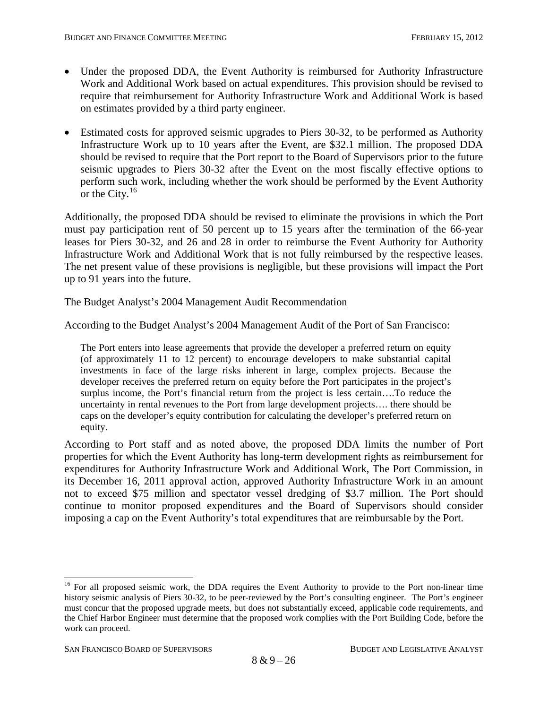- Under the proposed DDA, the Event Authority is reimbursed for Authority Infrastructure Work and Additional Work based on actual expenditures. This provision should be revised to require that reimbursement for Authority Infrastructure Work and Additional Work is based on estimates provided by a third party engineer.
- Estimated costs for approved seismic upgrades to Piers 30-32, to be performed as Authority Infrastructure Work up to 10 years after the Event, are \$32.1 million. The proposed DDA should be revised to require that the Port report to the Board of Supervisors prior to the future seismic upgrades to Piers 30-32 after the Event on the most fiscally effective options to perform such work, including whether the work should be performed by the Event Authority or the City. $16$

Additionally, the proposed DDA should be revised to eliminate the provisions in which the Port must pay participation rent of 50 percent up to 15 years after the termination of the 66-year leases for Piers 30-32, and 26 and 28 in order to reimburse the Event Authority for Authority Infrastructure Work and Additional Work that is not fully reimbursed by the respective leases. The net present value of these provisions is negligible, but these provisions will impact the Port up to 91 years into the future.

#### The Budget Analyst's 2004 Management Audit Recommendation

According to the Budget Analyst's 2004 Management Audit of the Port of San Francisco:

The Port enters into lease agreements that provide the developer a preferred return on equity (of approximately 11 to 12 percent) to encourage developers to make substantial capital investments in face of the large risks inherent in large, complex projects. Because the developer receives the preferred return on equity before the Port participates in the project's surplus income, the Port's financial return from the project is less certain….To reduce the uncertainty in rental revenues to the Port from large development projects…. there should be caps on the developer's equity contribution for calculating the developer's preferred return on equity.

According to Port staff and as noted above, the proposed DDA limits the number of Port properties for which the Event Authority has long-term development rights as reimbursement for expenditures for Authority Infrastructure Work and Additional Work, The Port Commission, in its December 16, 2011 approval action, approved Authority Infrastructure Work in an amount not to exceed \$75 million and spectator vessel dredging of \$3.7 million. The Port should continue to monitor proposed expenditures and the Board of Supervisors should consider imposing a cap on the Event Authority's total expenditures that are reimbursable by the Port.

<sup>&</sup>lt;sup>16</sup> For all proposed seismic work, the DDA requires the Event Authority to provide to the Port non-linear time history seismic analysis of Piers 30-32, to be peer-reviewed by the Port's consulting engineer. The Port's engineer must concur that the proposed upgrade meets, but does not substantially exceed, applicable code requirements, and the Chief Harbor Engineer must determine that the proposed work complies with the Port Building Code, before the work can proceed.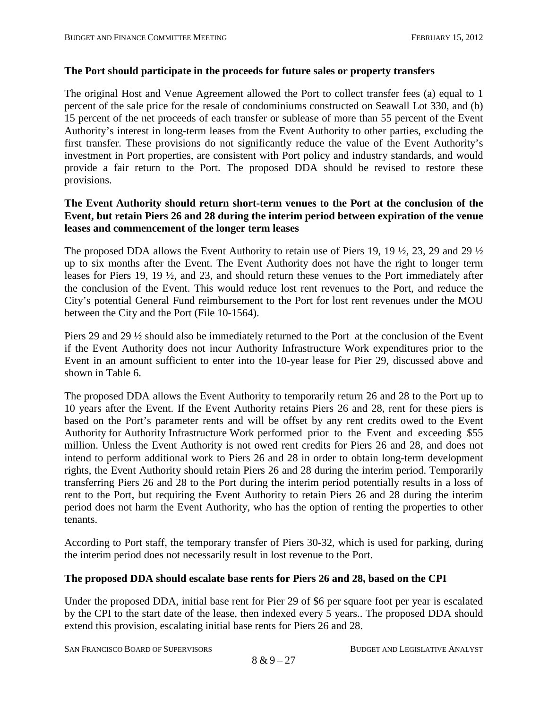#### **The Port should participate in the proceeds for future sales or property transfers**

The original Host and Venue Agreement allowed the Port to collect transfer fees (a) equal to 1 percent of the sale price for the resale of condominiums constructed on Seawall Lot 330, and (b) 15 percent of the net proceeds of each transfer or sublease of more than 55 percent of the Event Authority's interest in long-term leases from the Event Authority to other parties, excluding the first transfer. These provisions do not significantly reduce the value of the Event Authority's investment in Port properties, are consistent with Port policy and industry standards, and would provide a fair return to the Port. The proposed DDA should be revised to restore these provisions.

#### **The Event Authority should return short-term venues to the Port at the conclusion of the Event, but retain Piers 26 and 28 during the interim period between expiration of the venue leases and commencement of the longer term leases**

The proposed DDA allows the Event Authority to retain use of Piers 19, 19 ½, 23, 29 and 29 ½ up to six months after the Event. The Event Authority does not have the right to longer term leases for Piers 19, 19 ½, and 23, and should return these venues to the Port immediately after the conclusion of the Event. This would reduce lost rent revenues to the Port, and reduce the City's potential General Fund reimbursement to the Port for lost rent revenues under the MOU between the City and the Port (File 10-1564).

Piers 29 and 29 ½ should also be immediately returned to the Port at the conclusion of the Event if the Event Authority does not incur Authority Infrastructure Work expenditures prior to the Event in an amount sufficient to enter into the 10-year lease for Pier 29, discussed above and shown in Table 6.

The proposed DDA allows the Event Authority to temporarily return 26 and 28 to the Port up to 10 years after the Event. If the Event Authority retains Piers 26 and 28, rent for these piers is based on the Port's parameter rents and will be offset by any rent credits owed to the Event Authority for Authority Infrastructure Work performed prior to the Event and exceeding \$55 million. Unless the Event Authority is not owed rent credits for Piers 26 and 28, and does not intend to perform additional work to Piers 26 and 28 in order to obtain long-term development rights, the Event Authority should retain Piers 26 and 28 during the interim period. Temporarily transferring Piers 26 and 28 to the Port during the interim period potentially results in a loss of rent to the Port, but requiring the Event Authority to retain Piers 26 and 28 during the interim period does not harm the Event Authority, who has the option of renting the properties to other tenants.

According to Port staff, the temporary transfer of Piers 30-32, which is used for parking, during the interim period does not necessarily result in lost revenue to the Port.

#### **The proposed DDA should escalate base rents for Piers 26 and 28, based on the CPI**

Under the proposed DDA, initial base rent for Pier 29 of \$6 per square foot per year is escalated by the CPI to the start date of the lease, then indexed every 5 years.. The proposed DDA should extend this provision, escalating initial base rents for Piers 26 and 28.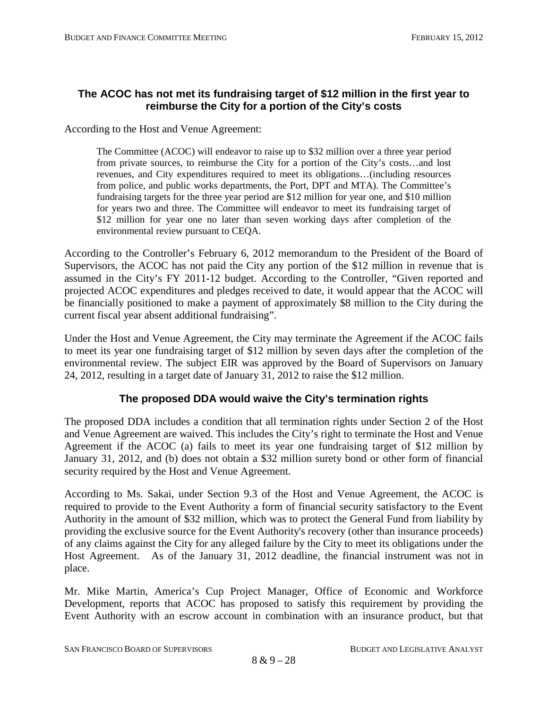## **The ACOC has not met its fundraising target of \$12 million in the first year to reimburse the City for a portion of the City's costs**

According to the Host and Venue Agreement:

The Committee (ACOC) will endeavor to raise up to \$32 million over a three year period from private sources, to reimburse the City for a portion of the City's costs…and lost revenues, and City expenditures required to meet its obligations…(including resources from police, and public works departments, the Port, DPT and MTA). The Committee's fundraising targets for the three year period are \$12 million for year one, and \$10 million for years two and three. The Committee will endeavor to meet its fundraising target of \$12 million for year one no later than seven working days after completion of the environmental review pursuant to CEQA.

According to the Controller's February 6, 2012 memorandum to the President of the Board of Supervisors, the ACOC has not paid the City any portion of the \$12 million in revenue that is assumed in the City's FY 2011-12 budget. According to the Controller, "Given reported and projected ACOC expenditures and pledges received to date, it would appear that the ACOC will be financially positioned to make a payment of approximately \$8 million to the City during the current fiscal year absent additional fundraising".

Under the Host and Venue Agreement, the City may terminate the Agreement if the ACOC fails to meet its year one fundraising target of \$12 million by seven days after the completion of the environmental review. The subject EIR was approved by the Board of Supervisors on January 24, 2012, resulting in a target date of January 31, 2012 to raise the \$12 million.

## **The proposed DDA would waive the City's termination rights**

The proposed DDA includes a condition that all termination rights under Section 2 of the Host and Venue Agreement are waived. This includes the City's right to terminate the Host and Venue Agreement if the ACOC (a) fails to meet its year one fundraising target of \$12 million by January 31, 2012, and (b) does not obtain a \$32 million surety bond or other form of financial security required by the Host and Venue Agreement.

According to Ms. Sakai, under Section 9.3 of the Host and Venue Agreement, the ACOC is required to provide to the Event Authority a form of financial security satisfactory to the Event Authority in the amount of \$32 million, which was to protect the General Fund from liability by providing the exclusive source for the Event Authority's recovery (other than insurance proceeds) of any claims against the City for any alleged failure by the City to meet its obligations under the Host Agreement. As of the January 31, 2012 deadline, the financial instrument was not in place.

Mr. Mike Martin, America's Cup Project Manager, Office of Economic and Workforce Development, reports that ACOC has proposed to satisfy this requirement by providing the Event Authority with an escrow account in combination with an insurance product, but that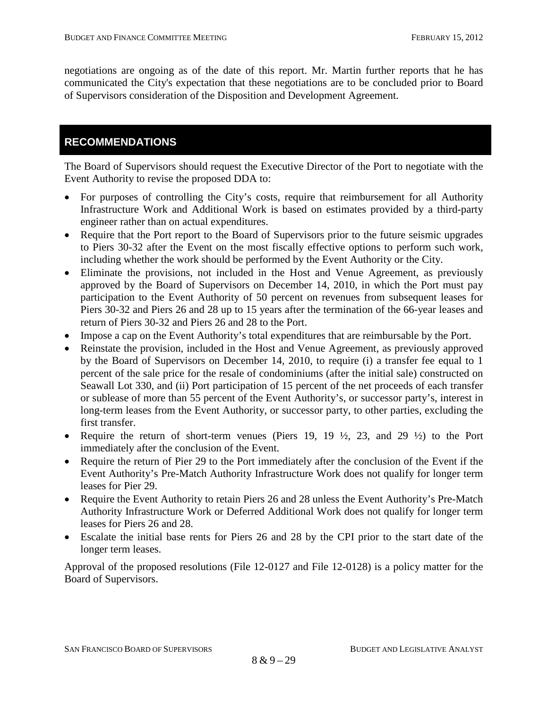negotiations are ongoing as of the date of this report. Mr. Martin further reports that he has communicated the City's expectation that these negotiations are to be concluded prior to Board of Supervisors consideration of the Disposition and Development Agreement.

# **RECOMMENDATIONS**

The Board of Supervisors should request the Executive Director of the Port to negotiate with the Event Authority to revise the proposed DDA to:

- For purposes of controlling the City's costs, require that reimbursement for all Authority Infrastructure Work and Additional Work is based on estimates provided by a third-party engineer rather than on actual expenditures.
- Require that the Port report to the Board of Supervisors prior to the future seismic upgrades to Piers 30-32 after the Event on the most fiscally effective options to perform such work, including whether the work should be performed by the Event Authority or the City.
- Eliminate the provisions, not included in the Host and Venue Agreement, as previously approved by the Board of Supervisors on December 14, 2010, in which the Port must pay participation to the Event Authority of 50 percent on revenues from subsequent leases for Piers 30-32 and Piers 26 and 28 up to 15 years after the termination of the 66-year leases and return of Piers 30-32 and Piers 26 and 28 to the Port.
- Impose a cap on the Event Authority's total expenditures that are reimbursable by the Port.
- Reinstate the provision, included in the Host and Venue Agreement, as previously approved by the Board of Supervisors on December 14, 2010, to require (i) a transfer fee equal to 1 percent of the sale price for the resale of condominiums (after the initial sale) constructed on Seawall Lot 330, and (ii) Port participation of 15 percent of the net proceeds of each transfer or sublease of more than 55 percent of the Event Authority's, or successor party's, interest in long-term leases from the Event Authority, or successor party, to other parties, excluding the first transfer.
- Require the return of short-term venues (Piers 19, 19  $\frac{1}{2}$ , 23, and 29  $\frac{1}{2}$ ) to the Port immediately after the conclusion of the Event.
- Require the return of Pier 29 to the Port immediately after the conclusion of the Event if the Event Authority's Pre-Match Authority Infrastructure Work does not qualify for longer term leases for Pier 29.
- Require the Event Authority to retain Piers 26 and 28 unless the Event Authority's Pre-Match Authority Infrastructure Work or Deferred Additional Work does not qualify for longer term leases for Piers 26 and 28.
- Escalate the initial base rents for Piers 26 and 28 by the CPI prior to the start date of the longer term leases.

Approval of the proposed resolutions (File 12-0127 and File 12-0128) is a policy matter for the Board of Supervisors.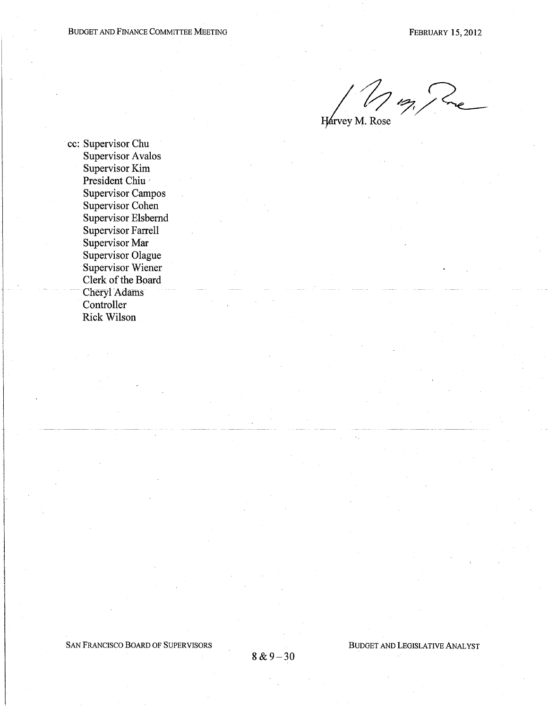Mm, Pre

Harvey M. Rose

cc: Supervisor Chu **Supervisor Avalos** Supervisor Kim President Chiu **Supervisor Campos** Supervisor Cohen Supervisor Elsbernd **Supervisor Farrell** Supervisor Mar Supervisor Olague Supervisor Wiener Clerk of the Board **Cheryl Adams** Controller **Rick Wilson**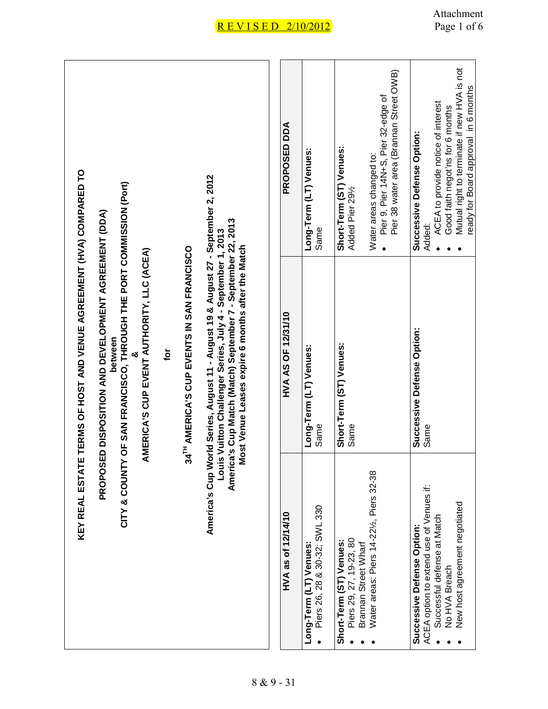| KEY REAL ESTATE                                                                                                                                        | TERMS OF HOST AND VENUE AGREEMENT (HVA) COMPARED TO                                                                                                                                                                                                             |                                                                                                                                                               |
|--------------------------------------------------------------------------------------------------------------------------------------------------------|-----------------------------------------------------------------------------------------------------------------------------------------------------------------------------------------------------------------------------------------------------------------|---------------------------------------------------------------------------------------------------------------------------------------------------------------|
| CITY & COUNTY                                                                                                                                          | OF SAN FRANCISCO, THROUGH THE PORT COMMISSION (Port)<br>PROPOSED DISPOSITION AND DEVELOPMENT AGREEMENT (DDA)<br>AMERICA'S CUP EVENT AUTHORITY, LLC (ACEA)<br>between                                                                                            |                                                                                                                                                               |
|                                                                                                                                                        | Įg                                                                                                                                                                                                                                                              |                                                                                                                                                               |
|                                                                                                                                                        | 34 <sup>TH</sup> AMERICA'S CUP EVENTS IN SAN FRANCISCO                                                                                                                                                                                                          |                                                                                                                                                               |
| Louis                                                                                                                                                  | America's Cup World Series, August 11 - August 19 & August 27 - September 2, 2012<br>America's Cup Match (Match) September 7 - September 22, 2013<br>Vuitton Challenger Series, July 4 - September 1, 2013<br>Most Venue Leases expire 6 months after the Match |                                                                                                                                                               |
| HVA as of 12/14/10                                                                                                                                     | HVA AS OF 12/31/10                                                                                                                                                                                                                                              | PROPOSED DDA                                                                                                                                                  |
| Piers 26, 28 & 30-32; SWL 330<br>Long-Term (LT) Venues:                                                                                                | Long-Term (LT) Venues:<br>Same                                                                                                                                                                                                                                  | Long-Term (LT) Venues:<br>Same                                                                                                                                |
| Piers 29, 27, 19-23, 80<br>Short-Term (ST) Venues:<br>Brannan Street Wharf                                                                             | Short-Term (ST) Venues:<br>Same                                                                                                                                                                                                                                 | Short-Term (ST) Venues:<br>Added Pier 291/2                                                                                                                   |
| Water areas: Piers 14-221/ <sub>2</sub> , Piers 32-38                                                                                                  |                                                                                                                                                                                                                                                                 | Pier 38 water area (Brannan Street OWB)<br>Pier 9, Pier 14N+S, Pier 32-edge of<br>Water areas changed to:                                                     |
| ACEA option to extend use of Venues if:<br>New host agreement negotiated<br>Successful defense at Match<br>Successive Defense Option:<br>No HVA Breach | Successive Defense Option:<br>Same                                                                                                                                                                                                                              | Mutual right to terminate if new HVA is not<br>ACEA to provide notice of interest<br>Good faith negot'ns for 6 months<br>Successive Defense Option:<br>Added: |
|                                                                                                                                                        |                                                                                                                                                                                                                                                                 | ready for Board approval in 6 months                                                                                                                          |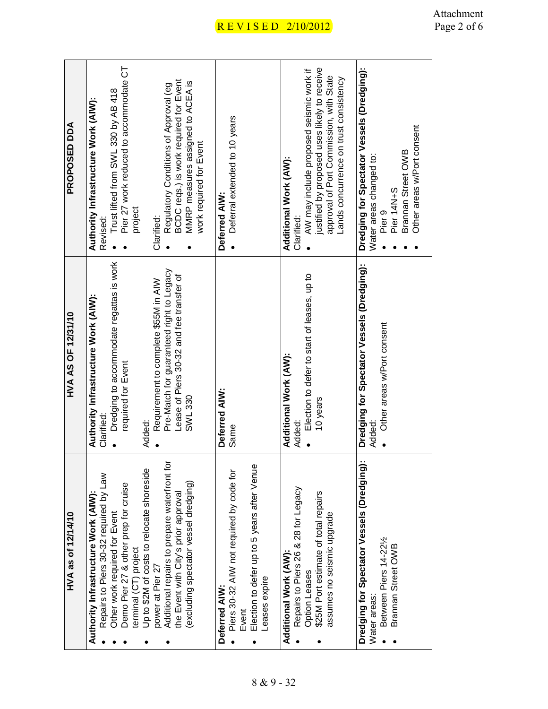| PROPOSED DDA       | Pier 27 work reduced to accommodate CT<br>BCDC reqs.) is work required for Event<br>MMRP measures assigned to ACEA is<br>Regulatory Conditions of Approval (eg<br>Trust lifted from SWL 330 by AB 418<br>Authority Infrastructure Work (AIW):<br>work required for Event<br>project<br>Clarified:<br>Revised:                                                                      | Deferral extended to 10 years<br>Deferred AIW:                                                                                     | justified by proposed uses likely to receive<br>AW may include proposed seismic work if<br>approval of Port Commission, with State<br>Lands concurrence on trust consistency<br>Additional Work (AW):<br>Clarified: | Dredging for Spectator Vessels (Dredging):<br>Other areas w/Port consent<br>Brannan Street OWB<br>Water areas changed to:<br>Pier 14N+S<br>Pier <sub>9</sub> |
|--------------------|------------------------------------------------------------------------------------------------------------------------------------------------------------------------------------------------------------------------------------------------------------------------------------------------------------------------------------------------------------------------------------|------------------------------------------------------------------------------------------------------------------------------------|---------------------------------------------------------------------------------------------------------------------------------------------------------------------------------------------------------------------|--------------------------------------------------------------------------------------------------------------------------------------------------------------|
| HVA AS OF 12/31/10 | Dredging to accommodate regattas is work<br>Pre-Match for guaranteed right to Legacy<br>Lease of Piers 30-32 and fee transfer of<br>Requirement to complete \$55M in AIW<br>Authority Infrastructure Work (AIW):<br>required for Event<br>SWL 330<br>Clarified:<br>Added:                                                                                                          | Deferred AIW:<br>Same                                                                                                              | Election to defer to start of leases, up to<br>Additional Work (AW):<br>10 years<br>Added:                                                                                                                          | Dredging for Spectator Vessels (Dredging):<br>Other areas w/Port consent<br>Added:                                                                           |
| HVA as of 12/14/10 | Additional repairs to prepare waterfront for<br>Up to \$2M of costs to relocate shoreside<br>Repairs to Piers 30-32 required by Law<br>(excluding spectator vessel dredging)<br>Demo Pier 27 & other prep for cruise<br>the Event with City's prior approval<br>Authority Infrastructure Work (AIW):<br>Other work required for Event<br>terminal (CT) project<br>power at Pier 27 | Election to defer up to 5 years after Venue<br>Piers 30-32 AIW not required by code for<br>Leases expire<br>Deferred AIW:<br>Event | Repairs to Piers 26 & 28 for Legacy<br>\$25M Port estimate of total repairs<br>assumes no seismic upgrade<br>Additional Work (AW):<br><b>Option Leases</b>                                                          | Dredging for Spectator Vessels (Dredging):<br>Between Piers 14-221/2<br>Brannan Street OWB<br>Water areas:                                                   |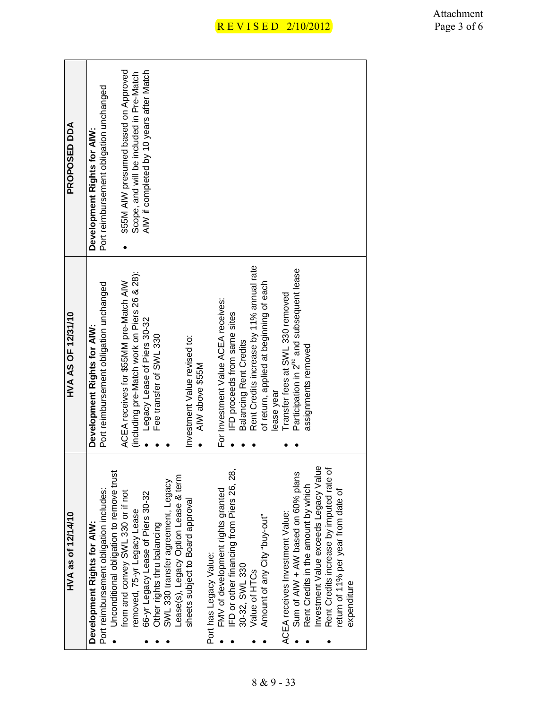| HVA as of 12/14/10                       | HVA AS OF 12/31/10                                    | PROPOSED DDA                             |
|------------------------------------------|-------------------------------------------------------|------------------------------------------|
| Development Rights for AIW:              | Development Rights for AIW:                           | Development Rights for AIW:              |
| Port reimbursement obligation includes:  | Port reimbursement obligation unchanged               | Port reimbursement obligation unchanged  |
| Unconditional obligation to remove trust |                                                       |                                          |
| from and convey SWL 330 or if not        | ACEA receives for \$55MM pre-Match AIW                | \$55M AIW presumed based on Approved     |
| emoved, 75-yr Legacy Lease               | (including pre-Match work on Piers 26 & 28):          | Scope, and will be included in Pre-Match |
| 66-yr Legacy Lease of Piers 30-32        | Legacy Lease of Piers 30-32                           | AIW if completed by 10 years after Match |
| Other rights thru balancing              | Fee transfer of SWL 330                               |                                          |
| SWL 330 transfer agreement, Legacy       |                                                       |                                          |
| ease(s), Legacy Option Lease & term      |                                                       |                                          |
| sheets subject to Board approval         | Investment Value revised to:                          |                                          |
|                                          | AIW above \$55M                                       |                                          |
| Port has Legacy Value:                   |                                                       |                                          |
| FMV of development rights granted        | For Investment Value ACEA receives:                   |                                          |
| FD or other financing from Piers 26, 28, | IFD proceeds from same sites                          |                                          |
| 30-32, SWL 330                           | <b>Balancing Rent Credits</b>                         |                                          |
| Value of HTCs                            | Rent Credits increase by 11% annual rate              |                                          |
| Amount of any City "buy-out"             | of return, applied at beginning of each               |                                          |
|                                          | lease year                                            |                                          |
| ACEA receives Investment Value:          | Transfer fees at SWL 330 removed                      |                                          |
| Sum of AIW + AW based on 60% plans       | Participation in 2 <sup>nd</sup> and subsequent lease |                                          |
| Rent Credits in the amount by which      | assignments removed                                   |                                          |
| nvestment Value exceeds Legacy Value     |                                                       |                                          |
| Rent Credits increase by imputed rate of |                                                       |                                          |
| eturn of 11% per year from date of       |                                                       |                                          |
| expenditure                              |                                                       |                                          |
|                                          |                                                       |                                          |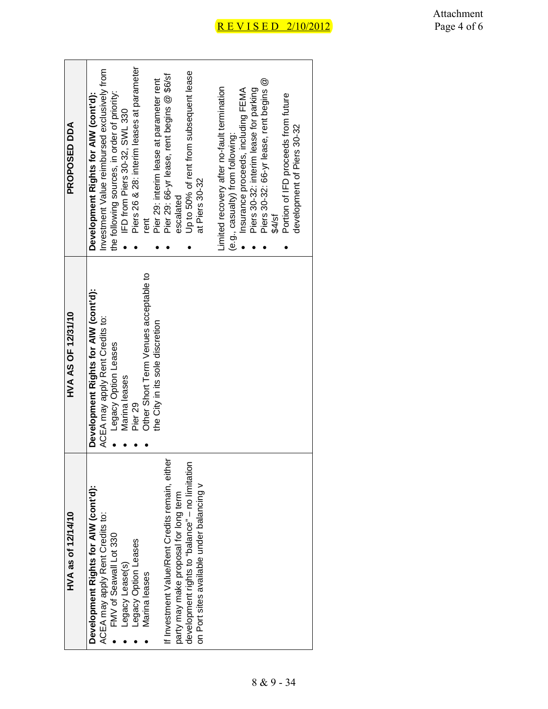| Piers 30-32: 66-yr lease, rent begins @<br>imited recovery after no-fault termination<br>Piers 30-32: interim lease for parking<br>Insurance proceeds, including FEMA<br>the following sources, in order of priority:<br>Portion of IFD proceeds from future<br>IFD from Piers 30-32, SWL 330<br>development of Piers 30-32<br>(e.g., casualty) from following:<br>at Piers 30-32<br>escalated<br>\$4/sf<br>rent<br>Other Short Term Venues acceptable to<br>Development Rights for AIW (cont'd):<br>ACEA may apply Rent Credits to:<br>the City in its sole discretion<br>Legacy Option Leases<br>Marina leases<br>Pier <sub>29</sub><br>If Investment Value/Rent Credits remain, either<br>development rights to "balance" - no limitation<br>on Port sites available under balancing v<br>Development Rights for AIW (cont'd):<br>party may make proposal for long term<br>ACEA may apply Rent Credits to:<br>FMV of Seawall Lot 330<br>Legacy Option Leases<br>Legacy Lease(s)<br>Marina leases | HVA as of 12/14/10 | <b>HVA AS OF 12/31/10</b> | <b>PROPOSED DDA</b>                          |
|-----------------------------------------------------------------------------------------------------------------------------------------------------------------------------------------------------------------------------------------------------------------------------------------------------------------------------------------------------------------------------------------------------------------------------------------------------------------------------------------------------------------------------------------------------------------------------------------------------------------------------------------------------------------------------------------------------------------------------------------------------------------------------------------------------------------------------------------------------------------------------------------------------------------------------------------------------------------------------------------------------|--------------------|---------------------------|----------------------------------------------|
|                                                                                                                                                                                                                                                                                                                                                                                                                                                                                                                                                                                                                                                                                                                                                                                                                                                                                                                                                                                                     |                    |                           | Development Rights for AIW (cont'd):         |
|                                                                                                                                                                                                                                                                                                                                                                                                                                                                                                                                                                                                                                                                                                                                                                                                                                                                                                                                                                                                     |                    |                           | Investment Value reimbursed exclusively from |
|                                                                                                                                                                                                                                                                                                                                                                                                                                                                                                                                                                                                                                                                                                                                                                                                                                                                                                                                                                                                     |                    |                           |                                              |
|                                                                                                                                                                                                                                                                                                                                                                                                                                                                                                                                                                                                                                                                                                                                                                                                                                                                                                                                                                                                     |                    |                           |                                              |
|                                                                                                                                                                                                                                                                                                                                                                                                                                                                                                                                                                                                                                                                                                                                                                                                                                                                                                                                                                                                     |                    |                           | Piers 26 & 28: interim leases at parameter   |
|                                                                                                                                                                                                                                                                                                                                                                                                                                                                                                                                                                                                                                                                                                                                                                                                                                                                                                                                                                                                     |                    |                           |                                              |
|                                                                                                                                                                                                                                                                                                                                                                                                                                                                                                                                                                                                                                                                                                                                                                                                                                                                                                                                                                                                     |                    |                           | Pier 29: interim lease at parameter rent     |
|                                                                                                                                                                                                                                                                                                                                                                                                                                                                                                                                                                                                                                                                                                                                                                                                                                                                                                                                                                                                     |                    |                           | Pier 29: 66-yr lease, rent begins @ \$6/sf   |
|                                                                                                                                                                                                                                                                                                                                                                                                                                                                                                                                                                                                                                                                                                                                                                                                                                                                                                                                                                                                     |                    |                           |                                              |
|                                                                                                                                                                                                                                                                                                                                                                                                                                                                                                                                                                                                                                                                                                                                                                                                                                                                                                                                                                                                     |                    |                           | Up to 50% of rent from subsequent lease      |
|                                                                                                                                                                                                                                                                                                                                                                                                                                                                                                                                                                                                                                                                                                                                                                                                                                                                                                                                                                                                     |                    |                           |                                              |
|                                                                                                                                                                                                                                                                                                                                                                                                                                                                                                                                                                                                                                                                                                                                                                                                                                                                                                                                                                                                     |                    |                           |                                              |
|                                                                                                                                                                                                                                                                                                                                                                                                                                                                                                                                                                                                                                                                                                                                                                                                                                                                                                                                                                                                     |                    |                           |                                              |
|                                                                                                                                                                                                                                                                                                                                                                                                                                                                                                                                                                                                                                                                                                                                                                                                                                                                                                                                                                                                     |                    |                           |                                              |
|                                                                                                                                                                                                                                                                                                                                                                                                                                                                                                                                                                                                                                                                                                                                                                                                                                                                                                                                                                                                     |                    |                           |                                              |
|                                                                                                                                                                                                                                                                                                                                                                                                                                                                                                                                                                                                                                                                                                                                                                                                                                                                                                                                                                                                     |                    |                           |                                              |
|                                                                                                                                                                                                                                                                                                                                                                                                                                                                                                                                                                                                                                                                                                                                                                                                                                                                                                                                                                                                     |                    |                           |                                              |
|                                                                                                                                                                                                                                                                                                                                                                                                                                                                                                                                                                                                                                                                                                                                                                                                                                                                                                                                                                                                     |                    |                           |                                              |
|                                                                                                                                                                                                                                                                                                                                                                                                                                                                                                                                                                                                                                                                                                                                                                                                                                                                                                                                                                                                     |                    |                           |                                              |
|                                                                                                                                                                                                                                                                                                                                                                                                                                                                                                                                                                                                                                                                                                                                                                                                                                                                                                                                                                                                     |                    |                           |                                              |
|                                                                                                                                                                                                                                                                                                                                                                                                                                                                                                                                                                                                                                                                                                                                                                                                                                                                                                                                                                                                     |                    |                           |                                              |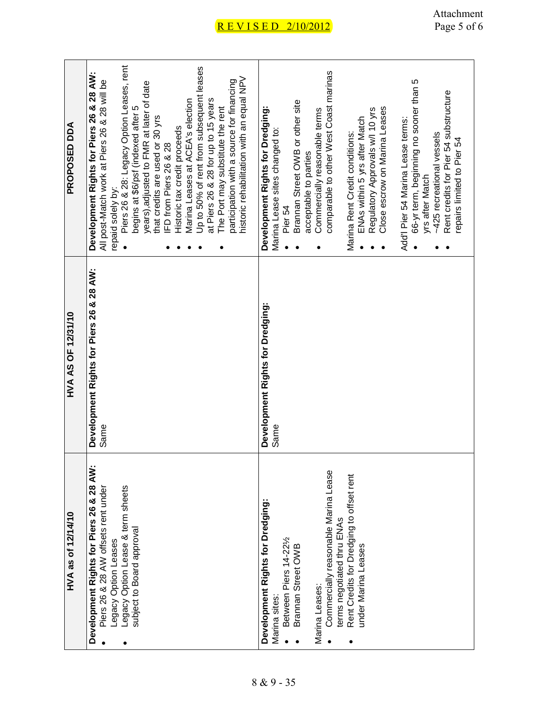| <b>AND DESP PRAS</b> | Piers 26 & 28: Legacy Option Leases, rent<br>Up to 50% of rent from subsequent leases<br>Development Rights for Piers 26 & 28 AW:<br>historic rehabilitation with an equal NPV<br>participation with a source for financing<br>All post-Match work at Piers 26 & 28 will be<br>years), adjusted to FMR at later of date<br>at Piers 26 & 28 for up to 15 years<br>Marina Leases at ACEA's election<br>The Port may substitute the rent<br>begins at \$6/psf (indexed after 5<br>that credits are used or 30 yrs<br>Historic tax credit proceeds<br>IFD from Piers 26 & 28<br>repaid solely by: | comparable to other West Coast marinas<br>66-yr term, beginning no sooner than 5<br>Rent credits for Pier 54 substructure<br>Brannan Street OWB or other site<br>Close escrow on Marina Leases<br>Development Rights for Dredging:<br>Regulatory Approvals w/l 10 yrs<br>Commercially reasonable terms<br>ENAs within 5 yrs after Match<br>Add'l Pier 54 Marina Lease terms:<br>Marina Lease sites changed to:<br>Marina Rent Credit conditions:<br>~425 recreational vessels<br>repairs limited to Pier 54<br>acceptable to parties<br>yrs after Match<br>Pier 54 |
|----------------------|------------------------------------------------------------------------------------------------------------------------------------------------------------------------------------------------------------------------------------------------------------------------------------------------------------------------------------------------------------------------------------------------------------------------------------------------------------------------------------------------------------------------------------------------------------------------------------------------|--------------------------------------------------------------------------------------------------------------------------------------------------------------------------------------------------------------------------------------------------------------------------------------------------------------------------------------------------------------------------------------------------------------------------------------------------------------------------------------------------------------------------------------------------------------------|
| HVA AS OF 12/31/10   | Development Rights for Piers 26 & 28 AW:<br>Same                                                                                                                                                                                                                                                                                                                                                                                                                                                                                                                                               | Development Rights for Dredging:<br>Same                                                                                                                                                                                                                                                                                                                                                                                                                                                                                                                           |
| HVA as of 12/14/10   | Development Rights for Piers 26 & 28 AW:<br>Legacy Option Lease & term sheets<br>Piers 26 & 28 AW offsets rent under<br>subject to Board approval<br>-egacy Option Leases                                                                                                                                                                                                                                                                                                                                                                                                                      | Commercially reasonable Marina Lease<br>Rent Credits for Dredging to offset rent<br>Development Rights for Dredging:<br>terms negotiated thru ENAs<br>Between Piers 14-221/2<br>Brannan Street OWB<br>under Marina Leases<br>Marina Leases:<br>Marina sites:                                                                                                                                                                                                                                                                                                       |